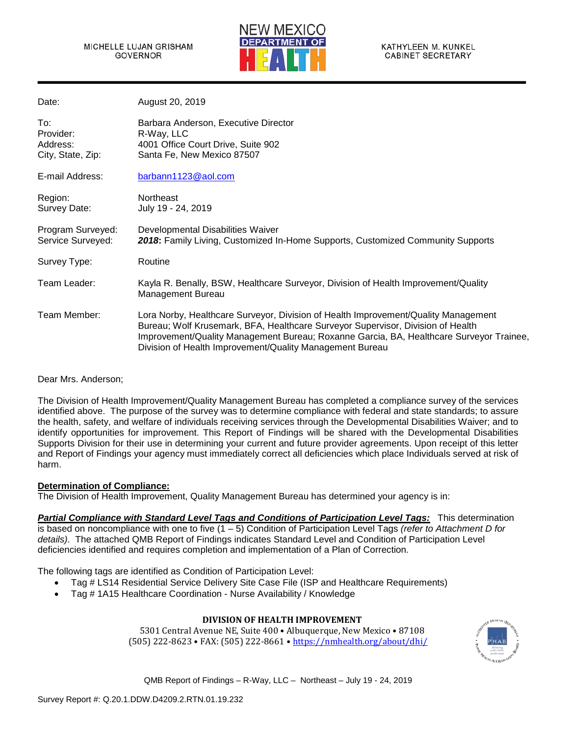

| Date:                                             | August 20, 2019                                                                                                                                                                                                                                                                                                              |
|---------------------------------------------------|------------------------------------------------------------------------------------------------------------------------------------------------------------------------------------------------------------------------------------------------------------------------------------------------------------------------------|
| To:<br>Provider:<br>Address:<br>City, State, Zip: | Barbara Anderson, Executive Director<br>R-Way, LLC<br>4001 Office Court Drive, Suite 902<br>Santa Fe, New Mexico 87507                                                                                                                                                                                                       |
| E-mail Address:                                   | barbann1123@aol.com                                                                                                                                                                                                                                                                                                          |
| Region:<br>Survey Date:                           | <b>Northeast</b><br>July 19 - 24, 2019                                                                                                                                                                                                                                                                                       |
| Program Surveyed:<br>Service Surveyed:            | Developmental Disabilities Waiver<br>2018: Family Living, Customized In-Home Supports, Customized Community Supports                                                                                                                                                                                                         |
| Survey Type:                                      | Routine                                                                                                                                                                                                                                                                                                                      |
| Team Leader:                                      | Kayla R. Benally, BSW, Healthcare Surveyor, Division of Health Improvement/Quality<br><b>Management Bureau</b>                                                                                                                                                                                                               |
| Team Member:                                      | Lora Norby, Healthcare Surveyor, Division of Health Improvement/Quality Management<br>Bureau; Wolf Krusemark, BFA, Healthcare Surveyor Supervisor, Division of Health<br>Improvement/Quality Management Bureau; Roxanne Garcia, BA, Healthcare Surveyor Trainee,<br>Division of Health Improvement/Quality Management Bureau |

Dear Mrs. Anderson;

The Division of Health Improvement/Quality Management Bureau has completed a compliance survey of the services identified above. The purpose of the survey was to determine compliance with federal and state standards; to assure the health, safety, and welfare of individuals receiving services through the Developmental Disabilities Waiver; and to identify opportunities for improvement. This Report of Findings will be shared with the Developmental Disabilities Supports Division for their use in determining your current and future provider agreements. Upon receipt of this letter and Report of Findings your agency must immediately correct all deficiencies which place Individuals served at risk of harm.

### **Determination of Compliance:**

The Division of Health Improvement, Quality Management Bureau has determined your agency is in:

*Partial Compliance with Standard Level Tags and Conditions of Participation Level Tags:* This determination is based on noncompliance with one to five (1 – 5) Condition of Participation Level Tags *(refer to Attachment D for details)*. The attached QMB Report of Findings indicates Standard Level and Condition of Participation Level deficiencies identified and requires completion and implementation of a Plan of Correction.

The following tags are identified as Condition of Participation Level:

- Tag # LS14 Residential Service Delivery Site Case File (ISP and Healthcare Requirements)
- Tag # 1A15 Healthcare Coordination Nurse Availability / Knowledge

## **DIVISION OF HEALTH IMPROVEMENT**

5301 Central Avenue NE, Suite 400 • Albuquerque, New Mexico • 87108 (505) 222-8623 • FAX: (505) 222-8661 •<https://nmhealth.org/about/dhi/>

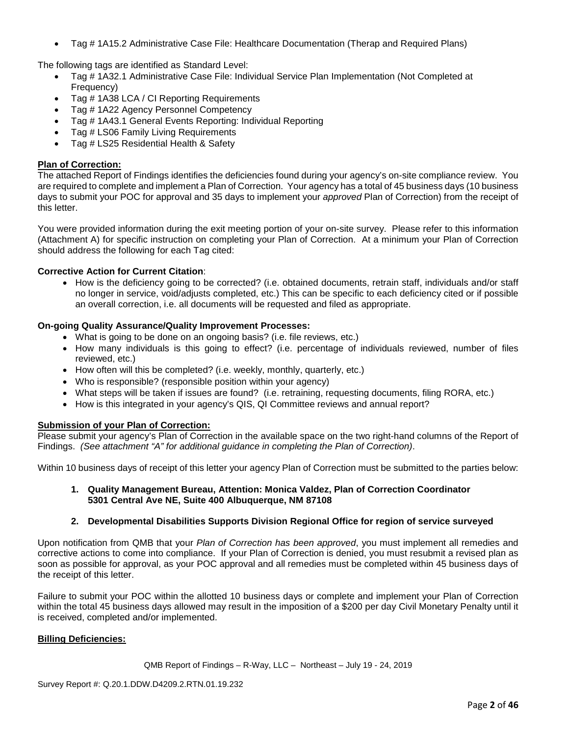• Tag # 1A15.2 Administrative Case File: Healthcare Documentation (Therap and Required Plans)

The following tags are identified as Standard Level:

- Tag # 1A32.1 Administrative Case File: Individual Service Plan Implementation (Not Completed at Frequency)
- Tag # 1A38 LCA / CI Reporting Requirements
- Tag # 1A22 Agency Personnel Competency
- Tag # 1A43.1 General Events Reporting: Individual Reporting
- Tag # LS06 Family Living Requirements
- Tag # LS25 Residential Health & Safety

## **Plan of Correction:**

The attached Report of Findings identifies the deficiencies found during your agency's on-site compliance review. You are required to complete and implement a Plan of Correction. Your agency has a total of 45 business days (10 business days to submit your POC for approval and 35 days to implement your *approved* Plan of Correction) from the receipt of this letter.

You were provided information during the exit meeting portion of your on-site survey. Please refer to this information (Attachment A) for specific instruction on completing your Plan of Correction. At a minimum your Plan of Correction should address the following for each Tag cited:

## **Corrective Action for Current Citation**:

• How is the deficiency going to be corrected? (i.e. obtained documents, retrain staff, individuals and/or staff no longer in service, void/adjusts completed, etc.) This can be specific to each deficiency cited or if possible an overall correction, i.e. all documents will be requested and filed as appropriate.

## **On-going Quality Assurance/Quality Improvement Processes:**

- What is going to be done on an ongoing basis? (i.e. file reviews, etc.)
- How many individuals is this going to effect? (i.e. percentage of individuals reviewed, number of files reviewed, etc.)
- How often will this be completed? (i.e. weekly, monthly, quarterly, etc.)
- Who is responsible? (responsible position within your agency)
- What steps will be taken if issues are found? (i.e. retraining, requesting documents, filing RORA, etc.)
- How is this integrated in your agency's QIS, QI Committee reviews and annual report?

### **Submission of your Plan of Correction:**

Please submit your agency's Plan of Correction in the available space on the two right-hand columns of the Report of Findings. *(See attachment "A" for additional guidance in completing the Plan of Correction)*.

Within 10 business days of receipt of this letter your agency Plan of Correction must be submitted to the parties below:

### **1. Quality Management Bureau, Attention: Monica Valdez, Plan of Correction Coordinator 5301 Central Ave NE, Suite 400 Albuquerque, NM 87108**

## **2. Developmental Disabilities Supports Division Regional Office for region of service surveyed**

Upon notification from QMB that your *Plan of Correction has been approved*, you must implement all remedies and corrective actions to come into compliance. If your Plan of Correction is denied, you must resubmit a revised plan as soon as possible for approval, as your POC approval and all remedies must be completed within 45 business days of the receipt of this letter.

Failure to submit your POC within the allotted 10 business days or complete and implement your Plan of Correction within the total 45 business days allowed may result in the imposition of a \$200 per day Civil Monetary Penalty until it is received, completed and/or implemented.

## **Billing Deficiencies:**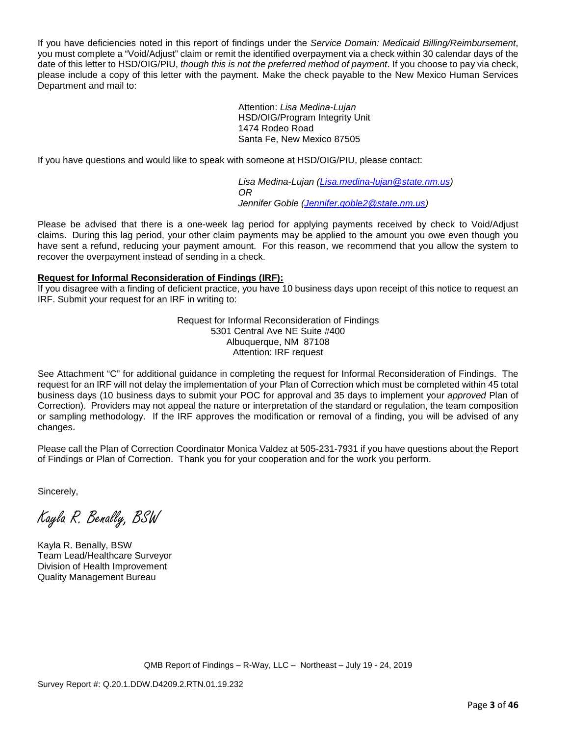If you have deficiencies noted in this report of findings under the *Service Domain: Medicaid Billing/Reimbursement*, you must complete a "Void/Adjust" claim or remit the identified overpayment via a check within 30 calendar days of the date of this letter to HSD/OIG/PIU, *though this is not the preferred method of payment*. If you choose to pay via check, please include a copy of this letter with the payment. Make the check payable to the New Mexico Human Services Department and mail to:

> Attention: *Lisa Medina-Lujan* HSD/OIG/Program Integrity Unit 1474 Rodeo Road Santa Fe, New Mexico 87505

If you have questions and would like to speak with someone at HSD/OIG/PIU, please contact:

*Lisa Medina-Lujan [\(Lisa.medina-lujan@state.nm.us\)](mailto:Lisa.medina-lujan@state.nm.us) OR Jennifer Goble [\(Jennifer.goble2@state.nm.us\)](mailto:Jennifer.goble2@state.nm.us)*

Please be advised that there is a one-week lag period for applying payments received by check to Void/Adjust claims. During this lag period, your other claim payments may be applied to the amount you owe even though you have sent a refund, reducing your payment amount. For this reason, we recommend that you allow the system to recover the overpayment instead of sending in a check.

## **Request for Informal Reconsideration of Findings (IRF):**

If you disagree with a finding of deficient practice, you have 10 business days upon receipt of this notice to request an IRF. Submit your request for an IRF in writing to:

> Request for Informal Reconsideration of Findings 5301 Central Ave NE Suite #400 Albuquerque, NM 87108 Attention: IRF request

See Attachment "C" for additional guidance in completing the request for Informal Reconsideration of Findings. The request for an IRF will not delay the implementation of your Plan of Correction which must be completed within 45 total business days (10 business days to submit your POC for approval and 35 days to implement your *approved* Plan of Correction). Providers may not appeal the nature or interpretation of the standard or regulation, the team composition or sampling methodology. If the IRF approves the modification or removal of a finding, you will be advised of any changes.

Please call the Plan of Correction Coordinator Monica Valdez at 505-231-7931 if you have questions about the Report of Findings or Plan of Correction. Thank you for your cooperation and for the work you perform.

Sincerely,

Kayla R. Benally, BSW

Kayla R. Benally, BSW Team Lead/Healthcare Surveyor Division of Health Improvement Quality Management Bureau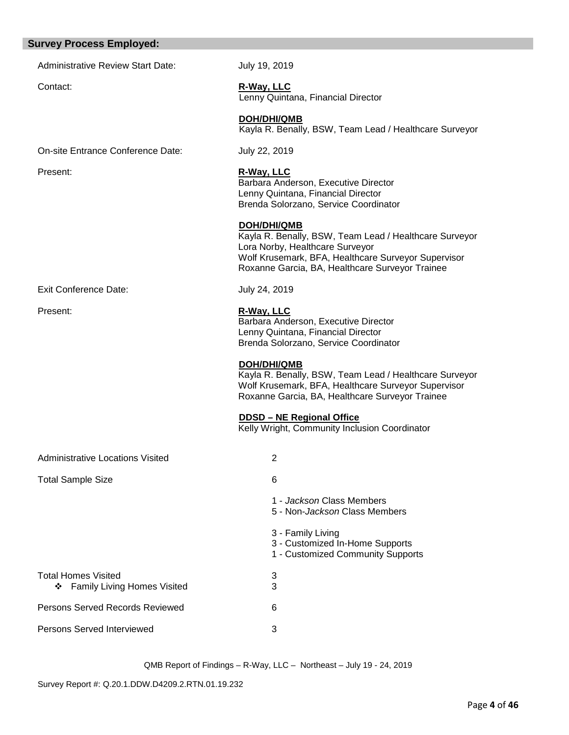# **Survey Process Employed:**

Administrative Review Start Date: July 19, 2019

Contact: **R-Way, LLC** Lenny Quintana, Financial Director

**DOH/DHI/QMB**

Kayla R. Benally, BSW, Team Lead / Healthcare Surveyor

On-site Entrance Conference Date: July 22, 2019

| Present:                                                              | R-Way, LLC<br>Barbara Anderson, Executive Director<br>Lenny Quintana, Financial Director<br>Brenda Solorzano, Service Coordinator                                                                                         |  |  |
|-----------------------------------------------------------------------|---------------------------------------------------------------------------------------------------------------------------------------------------------------------------------------------------------------------------|--|--|
|                                                                       | <b>DOH/DHI/QMB</b><br>Kayla R. Benally, BSW, Team Lead / Healthcare Surveyor<br>Lora Norby, Healthcare Surveyor<br>Wolf Krusemark, BFA, Healthcare Surveyor Supervisor<br>Roxanne Garcia, BA, Healthcare Surveyor Trainee |  |  |
| Exit Conference Date:                                                 | July 24, 2019                                                                                                                                                                                                             |  |  |
| Present:                                                              | R-Way, LLC<br>Barbara Anderson, Executive Director<br>Lenny Quintana, Financial Director<br>Brenda Solorzano, Service Coordinator                                                                                         |  |  |
|                                                                       | <b>DOH/DHI/QMB</b><br>Kayla R. Benally, BSW, Team Lead / Healthcare Surveyor<br>Wolf Krusemark, BFA, Healthcare Surveyor Supervisor<br>Roxanne Garcia, BA, Healthcare Surveyor Trainee                                    |  |  |
|                                                                       | DDSD - NE Regional Office<br>Kelly Wright, Community Inclusion Coordinator                                                                                                                                                |  |  |
| <b>Administrative Locations Visited</b>                               | $\overline{2}$                                                                                                                                                                                                            |  |  |
| <b>Total Sample Size</b>                                              | 6                                                                                                                                                                                                                         |  |  |
|                                                                       | 1 - Jackson Class Members<br>5 - Non- <i>Jackson</i> Class Members                                                                                                                                                        |  |  |
|                                                                       | 3 - Family Living<br>3 - Customized In-Home Supports<br>1 - Customized Community Supports                                                                                                                                 |  |  |
| <b>Total Homes Visited</b><br><b>Family Living Homes Visited</b><br>❖ | 3<br>3                                                                                                                                                                                                                    |  |  |
| Persons Served Records Reviewed                                       | 6                                                                                                                                                                                                                         |  |  |
| <b>Persons Served Interviewed</b>                                     | 3                                                                                                                                                                                                                         |  |  |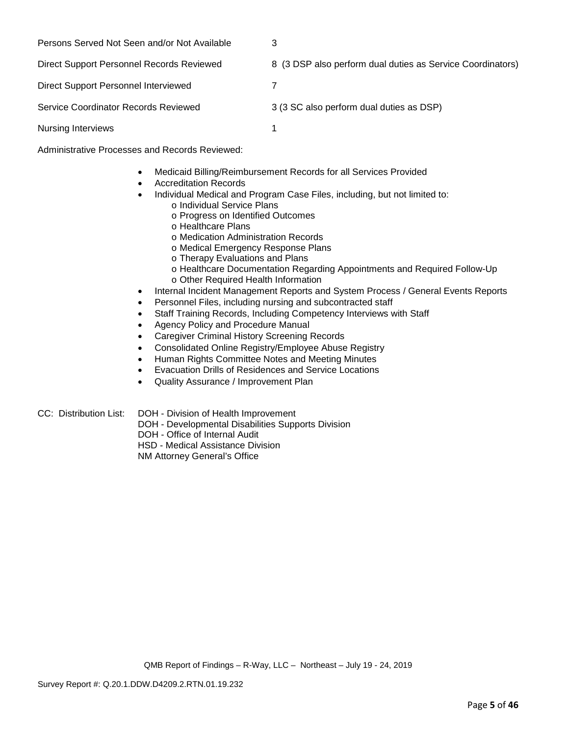| Persons Served Not Seen and/or Not Available | 3                                                          |
|----------------------------------------------|------------------------------------------------------------|
| Direct Support Personnel Records Reviewed    | 8 (3 DSP also perform dual duties as Service Coordinators) |
| Direct Support Personnel Interviewed         |                                                            |
| Service Coordinator Records Reviewed         | 3 (3 SC also perform dual duties as DSP)                   |
| <b>Nursing Interviews</b>                    |                                                            |

Administrative Processes and Records Reviewed:

- Medicaid Billing/Reimbursement Records for all Services Provided
- Accreditation Records
- Individual Medical and Program Case Files, including, but not limited to:
	- o Individual Service Plans
		- o Progress on Identified Outcomes
		- o Healthcare Plans
		- o Medication Administration Records
		- o Medical Emergency Response Plans
		- o Therapy Evaluations and Plans
		- o Healthcare Documentation Regarding Appointments and Required Follow-Up o Other Required Health Information
- Internal Incident Management Reports and System Process / General Events Reports
- Personnel Files, including nursing and subcontracted staff
- Staff Training Records, Including Competency Interviews with Staff
- Agency Policy and Procedure Manual
- Caregiver Criminal History Screening Records
- Consolidated Online Registry/Employee Abuse Registry
- Human Rights Committee Notes and Meeting Minutes
- Evacuation Drills of Residences and Service Locations
- Quality Assurance / Improvement Plan
- CC: Distribution List: DOH Division of Health Improvement
	- DOH Developmental Disabilities Supports Division
		- DOH Office of Internal Audit

HSD - Medical Assistance Division

NM Attorney General's Office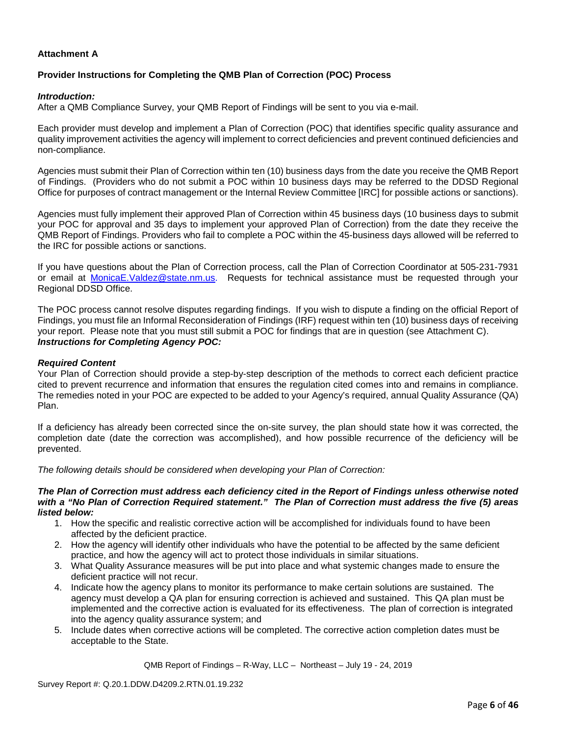## **Attachment A**

## **Provider Instructions for Completing the QMB Plan of Correction (POC) Process**

#### *Introduction:*

After a QMB Compliance Survey, your QMB Report of Findings will be sent to you via e-mail.

Each provider must develop and implement a Plan of Correction (POC) that identifies specific quality assurance and quality improvement activities the agency will implement to correct deficiencies and prevent continued deficiencies and non-compliance.

Agencies must submit their Plan of Correction within ten (10) business days from the date you receive the QMB Report of Findings. (Providers who do not submit a POC within 10 business days may be referred to the DDSD Regional Office for purposes of contract management or the Internal Review Committee [IRC] for possible actions or sanctions).

Agencies must fully implement their approved Plan of Correction within 45 business days (10 business days to submit your POC for approval and 35 days to implement your approved Plan of Correction) from the date they receive the QMB Report of Findings. Providers who fail to complete a POC within the 45-business days allowed will be referred to the IRC for possible actions or sanctions.

If you have questions about the Plan of Correction process, call the Plan of Correction Coordinator at 505-231-7931 or email at MonicaE.Valdez@state.nm.us. Requests for technical assistance must be requested through your Regional DDSD Office.

The POC process cannot resolve disputes regarding findings. If you wish to dispute a finding on the official Report of Findings, you must file an Informal Reconsideration of Findings (IRF) request within ten (10) business days of receiving your report. Please note that you must still submit a POC for findings that are in question (see Attachment C). *Instructions for Completing Agency POC:*

### *Required Content*

Your Plan of Correction should provide a step-by-step description of the methods to correct each deficient practice cited to prevent recurrence and information that ensures the regulation cited comes into and remains in compliance. The remedies noted in your POC are expected to be added to your Agency's required, annual Quality Assurance (QA) Plan.

If a deficiency has already been corrected since the on-site survey, the plan should state how it was corrected, the completion date (date the correction was accomplished), and how possible recurrence of the deficiency will be prevented.

*The following details should be considered when developing your Plan of Correction:*

#### *The Plan of Correction must address each deficiency cited in the Report of Findings unless otherwise noted with a "No Plan of Correction Required statement." The Plan of Correction must address the five (5) areas listed below:*

- 1. How the specific and realistic corrective action will be accomplished for individuals found to have been affected by the deficient practice.
- 2. How the agency will identify other individuals who have the potential to be affected by the same deficient practice, and how the agency will act to protect those individuals in similar situations.
- 3. What Quality Assurance measures will be put into place and what systemic changes made to ensure the deficient practice will not recur.
- 4. Indicate how the agency plans to monitor its performance to make certain solutions are sustained. The agency must develop a QA plan for ensuring correction is achieved and sustained. This QA plan must be implemented and the corrective action is evaluated for its effectiveness. The plan of correction is integrated into the agency quality assurance system; and
- 5. Include dates when corrective actions will be completed. The corrective action completion dates must be acceptable to the State.

QMB Report of Findings – R-Way, LLC – Northeast – July 19 - 24, 2019

Survey Report #: Q.20.1.DDW.D4209.2.RTN.01.19.232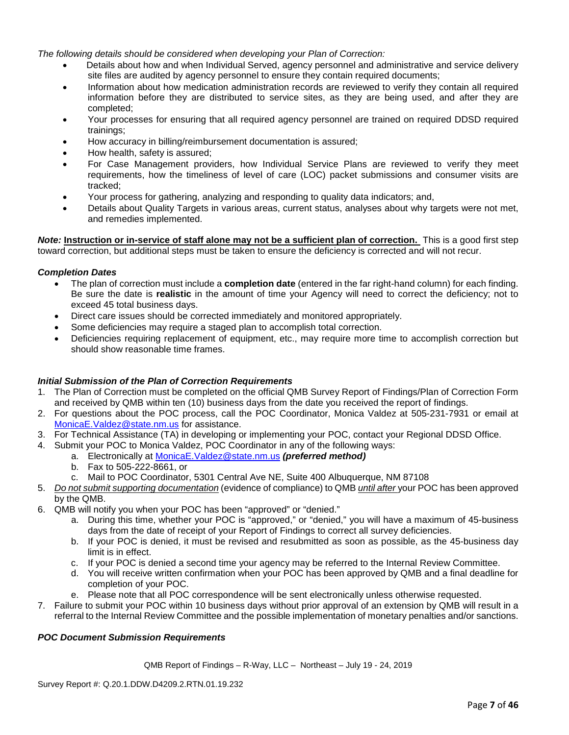*The following details should be considered when developing your Plan of Correction:*

- Details about how and when Individual Served, agency personnel and administrative and service delivery site files are audited by agency personnel to ensure they contain required documents;
- Information about how medication administration records are reviewed to verify they contain all required information before they are distributed to service sites, as they are being used, and after they are completed;
- Your processes for ensuring that all required agency personnel are trained on required DDSD required trainings;
- How accuracy in billing/reimbursement documentation is assured;
- How health, safety is assured;
- For Case Management providers, how Individual Service Plans are reviewed to verify they meet requirements, how the timeliness of level of care (LOC) packet submissions and consumer visits are tracked;
- Your process for gathering, analyzing and responding to quality data indicators; and,
- Details about Quality Targets in various areas, current status, analyses about why targets were not met, and remedies implemented.

*Note:* **Instruction or in-service of staff alone may not be a sufficient plan of correction.** This is a good first step toward correction, but additional steps must be taken to ensure the deficiency is corrected and will not recur.

### *Completion Dates*

- The plan of correction must include a **completion date** (entered in the far right-hand column) for each finding. Be sure the date is **realistic** in the amount of time your Agency will need to correct the deficiency; not to exceed 45 total business days.
- Direct care issues should be corrected immediately and monitored appropriately.
- Some deficiencies may require a staged plan to accomplish total correction.
- Deficiencies requiring replacement of equipment, etc., may require more time to accomplish correction but should show reasonable time frames.

### *Initial Submission of the Plan of Correction Requirements*

- 1. The Plan of Correction must be completed on the official QMB Survey Report of Findings/Plan of Correction Form and received by QMB within ten (10) business days from the date you received the report of findings.
- 2. For questions about the POC process, call the POC Coordinator, Monica Valdez at 505-231-7931 or email at MonicaE.Valdez@state.nm.us for assistance.
- 3. For Technical Assistance (TA) in developing or implementing your POC, contact your Regional DDSD Office.
- 4. Submit your POC to Monica Valdez, POC Coordinator in any of the following ways:
	- a. Electronically at MonicaE.Valdez@state.nm.us *(preferred method)*
	- b. Fax to 505-222-8661, or
	- c. Mail to POC Coordinator, 5301 Central Ave NE, Suite 400 Albuquerque, NM 87108
- 5. *Do not submit supporting documentation* (evidence of compliance) to QMB *until after* your POC has been approved by the QMB.
- 6. QMB will notify you when your POC has been "approved" or "denied."
	- a. During this time, whether your POC is "approved," or "denied," you will have a maximum of 45-business days from the date of receipt of your Report of Findings to correct all survey deficiencies.
	- b. If your POC is denied, it must be revised and resubmitted as soon as possible, as the 45-business day limit is in effect.
	- c. If your POC is denied a second time your agency may be referred to the Internal Review Committee.
	- d. You will receive written confirmation when your POC has been approved by QMB and a final deadline for completion of your POC.
	- e. Please note that all POC correspondence will be sent electronically unless otherwise requested.
- 7. Failure to submit your POC within 10 business days without prior approval of an extension by QMB will result in a referral to the Internal Review Committee and the possible implementation of monetary penalties and/or sanctions.

## *POC Document Submission Requirements*

QMB Report of Findings – R-Way, LLC – Northeast – July 19 - 24, 2019

Survey Report #: Q.20.1.DDW.D4209.2.RTN.01.19.232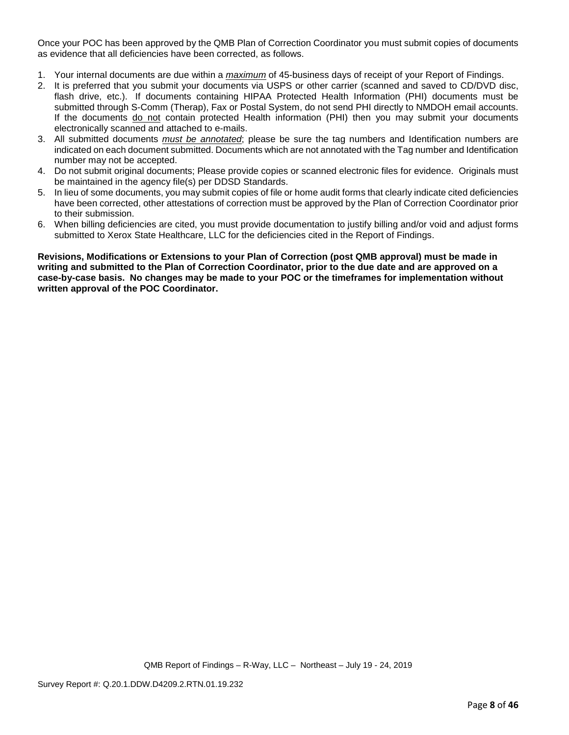Once your POC has been approved by the QMB Plan of Correction Coordinator you must submit copies of documents as evidence that all deficiencies have been corrected, as follows.

- 1. Your internal documents are due within a *maximum* of 45-business days of receipt of your Report of Findings.
- 2. It is preferred that you submit your documents via USPS or other carrier (scanned and saved to CD/DVD disc, flash drive, etc.). If documents containing HIPAA Protected Health Information (PHI) documents must be submitted through S-Comm (Therap), Fax or Postal System, do not send PHI directly to NMDOH email accounts. If the documents do not contain protected Health information (PHI) then you may submit your documents electronically scanned and attached to e-mails.
- 3. All submitted documents *must be annotated*; please be sure the tag numbers and Identification numbers are indicated on each document submitted. Documents which are not annotated with the Tag number and Identification number may not be accepted.
- 4. Do not submit original documents; Please provide copies or scanned electronic files for evidence. Originals must be maintained in the agency file(s) per DDSD Standards.
- 5. In lieu of some documents, you may submit copies of file or home audit forms that clearly indicate cited deficiencies have been corrected, other attestations of correction must be approved by the Plan of Correction Coordinator prior to their submission.
- 6. When billing deficiencies are cited, you must provide documentation to justify billing and/or void and adjust forms submitted to Xerox State Healthcare, LLC for the deficiencies cited in the Report of Findings.

**Revisions, Modifications or Extensions to your Plan of Correction (post QMB approval) must be made in writing and submitted to the Plan of Correction Coordinator, prior to the due date and are approved on a case-by-case basis. No changes may be made to your POC or the timeframes for implementation without written approval of the POC Coordinator.**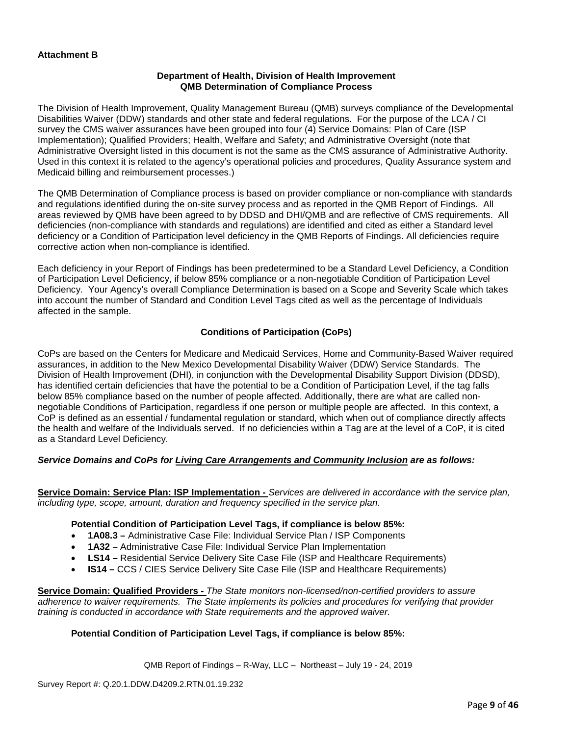## **Department of Health, Division of Health Improvement QMB Determination of Compliance Process**

The Division of Health Improvement, Quality Management Bureau (QMB) surveys compliance of the Developmental Disabilities Waiver (DDW) standards and other state and federal regulations. For the purpose of the LCA / CI survey the CMS waiver assurances have been grouped into four (4) Service Domains: Plan of Care (ISP Implementation); Qualified Providers; Health, Welfare and Safety; and Administrative Oversight (note that Administrative Oversight listed in this document is not the same as the CMS assurance of Administrative Authority. Used in this context it is related to the agency's operational policies and procedures, Quality Assurance system and Medicaid billing and reimbursement processes.)

The QMB Determination of Compliance process is based on provider compliance or non-compliance with standards and regulations identified during the on-site survey process and as reported in the QMB Report of Findings. All areas reviewed by QMB have been agreed to by DDSD and DHI/QMB and are reflective of CMS requirements. All deficiencies (non-compliance with standards and regulations) are identified and cited as either a Standard level deficiency or a Condition of Participation level deficiency in the QMB Reports of Findings. All deficiencies require corrective action when non-compliance is identified.

Each deficiency in your Report of Findings has been predetermined to be a Standard Level Deficiency, a Condition of Participation Level Deficiency, if below 85% compliance or a non-negotiable Condition of Participation Level Deficiency. Your Agency's overall Compliance Determination is based on a Scope and Severity Scale which takes into account the number of Standard and Condition Level Tags cited as well as the percentage of Individuals affected in the sample.

## **Conditions of Participation (CoPs)**

CoPs are based on the Centers for Medicare and Medicaid Services, Home and Community-Based Waiver required assurances, in addition to the New Mexico Developmental Disability Waiver (DDW) Service Standards. The Division of Health Improvement (DHI), in conjunction with the Developmental Disability Support Division (DDSD), has identified certain deficiencies that have the potential to be a Condition of Participation Level, if the tag falls below 85% compliance based on the number of people affected. Additionally, there are what are called nonnegotiable Conditions of Participation, regardless if one person or multiple people are affected. In this context, a CoP is defined as an essential / fundamental regulation or standard, which when out of compliance directly affects the health and welfare of the Individuals served. If no deficiencies within a Tag are at the level of a CoP, it is cited as a Standard Level Deficiency.

## *Service Domains and CoPs for Living Care Arrangements and Community Inclusion are as follows:*

**Service Domain: Service Plan: ISP Implementation -** *Services are delivered in accordance with the service plan, including type, scope, amount, duration and frequency specified in the service plan.*

### **Potential Condition of Participation Level Tags, if compliance is below 85%:**

- **1A08.3 –** Administrative Case File: Individual Service Plan / ISP Components
- **1A32 –** Administrative Case File: Individual Service Plan Implementation
- **LS14 –** Residential Service Delivery Site Case File (ISP and Healthcare Requirements)
- **IS14 –** CCS / CIES Service Delivery Site Case File (ISP and Healthcare Requirements)

**Service Domain: Qualified Providers -** *The State monitors non-licensed/non-certified providers to assure adherence to waiver requirements. The State implements its policies and procedures for verifying that provider training is conducted in accordance with State requirements and the approved waiver.*

## **Potential Condition of Participation Level Tags, if compliance is below 85%:**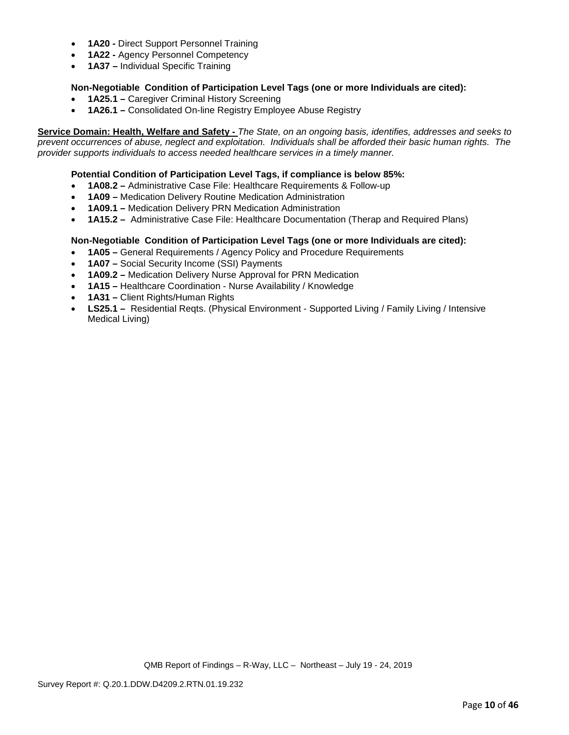- **1A20 -** Direct Support Personnel Training
- **1A22 -** Agency Personnel Competency
- **1A37 –** Individual Specific Training

## **Non-Negotiable Condition of Participation Level Tags (one or more Individuals are cited):**

- **1A25.1 –** Caregiver Criminal History Screening
- **1A26.1 –** Consolidated On-line Registry Employee Abuse Registry

**Service Domain: Health, Welfare and Safety -** *The State, on an ongoing basis, identifies, addresses and seeks to prevent occurrences of abuse, neglect and exploitation. Individuals shall be afforded their basic human rights. The provider supports individuals to access needed healthcare services in a timely manner.*

## **Potential Condition of Participation Level Tags, if compliance is below 85%:**

- **1A08.2 –** Administrative Case File: Healthcare Requirements & Follow-up
- **1A09 –** Medication Delivery Routine Medication Administration
- **1A09.1 –** Medication Delivery PRN Medication Administration
- **1A15.2 –** Administrative Case File: Healthcare Documentation (Therap and Required Plans)

## **Non-Negotiable Condition of Participation Level Tags (one or more Individuals are cited):**

- **1A05 –** General Requirements / Agency Policy and Procedure Requirements
- **1A07 –** Social Security Income (SSI) Payments
- **1A09.2 –** Medication Delivery Nurse Approval for PRN Medication
- **1A15 –** Healthcare Coordination Nurse Availability / Knowledge
- **1A31 –** Client Rights/Human Rights
- **LS25.1 –** Residential Regts. (Physical Environment Supported Living / Family Living / Intensive Medical Living)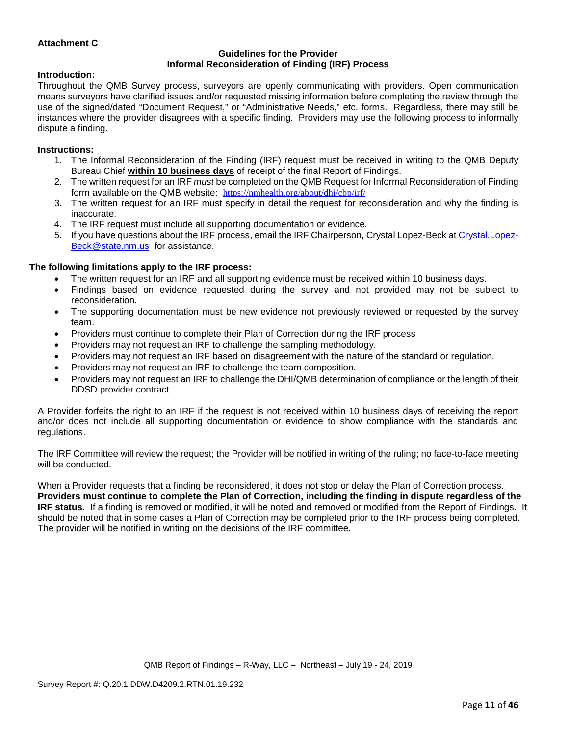## **Attachment C**

#### **Guidelines for the Provider Informal Reconsideration of Finding (IRF) Process**

### **Introduction:**

Throughout the QMB Survey process, surveyors are openly communicating with providers. Open communication means surveyors have clarified issues and/or requested missing information before completing the review through the use of the signed/dated "Document Request," or "Administrative Needs," etc. forms. Regardless, there may still be instances where the provider disagrees with a specific finding. Providers may use the following process to informally dispute a finding.

### **Instructions:**

- 1. The Informal Reconsideration of the Finding (IRF) request must be received in writing to the QMB Deputy Bureau Chief **within 10 business days** of receipt of the final Report of Findings.
- 2. The written request for an IRF *must* be completed on the QMB Request for Informal Reconsideration of Finding form available on the QMB website: <https://nmhealth.org/about/dhi/cbp/irf/>
- 3. The written request for an IRF must specify in detail the request for reconsideration and why the finding is inaccurate.
- 4. The IRF request must include all supporting documentation or evidence.
- 5. If you have questions about the IRF process, email the IRF Chairperson, Crystal Lopez-Beck a[t Crystal.Lopez-](mailto:Crystal.Lopez-Beck@state.nm.us)[Beck@state.nm.us](mailto:Crystal.Lopez-Beck@state.nm.us) for assistance.

## **The following limitations apply to the IRF process:**

- The written request for an IRF and all supporting evidence must be received within 10 business days.
- Findings based on evidence requested during the survey and not provided may not be subject to reconsideration.
- The supporting documentation must be new evidence not previously reviewed or requested by the survey team.
- Providers must continue to complete their Plan of Correction during the IRF process
- Providers may not request an IRF to challenge the sampling methodology.
- Providers may not request an IRF based on disagreement with the nature of the standard or regulation.
- Providers may not request an IRF to challenge the team composition.
- Providers may not request an IRF to challenge the DHI/QMB determination of compliance or the length of their DDSD provider contract.

A Provider forfeits the right to an IRF if the request is not received within 10 business days of receiving the report and/or does not include all supporting documentation or evidence to show compliance with the standards and regulations.

The IRF Committee will review the request; the Provider will be notified in writing of the ruling; no face-to-face meeting will be conducted.

When a Provider requests that a finding be reconsidered, it does not stop or delay the Plan of Correction process. **Providers must continue to complete the Plan of Correction, including the finding in dispute regardless of the IRF status.** If a finding is removed or modified, it will be noted and removed or modified from the Report of Findings. It should be noted that in some cases a Plan of Correction may be completed prior to the IRF process being completed. The provider will be notified in writing on the decisions of the IRF committee.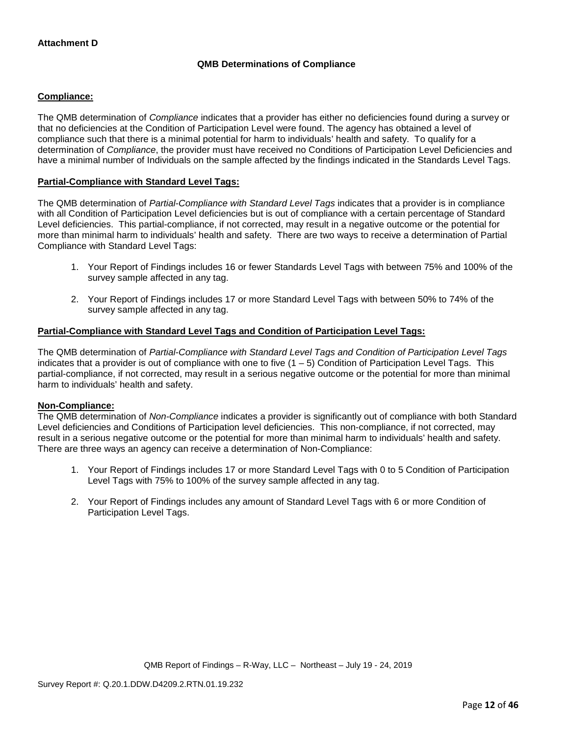## **QMB Determinations of Compliance**

## **Compliance:**

The QMB determination of *Compliance* indicates that a provider has either no deficiencies found during a survey or that no deficiencies at the Condition of Participation Level were found. The agency has obtained a level of compliance such that there is a minimal potential for harm to individuals' health and safety. To qualify for a determination of *Compliance*, the provider must have received no Conditions of Participation Level Deficiencies and have a minimal number of Individuals on the sample affected by the findings indicated in the Standards Level Tags.

## **Partial-Compliance with Standard Level Tags:**

The QMB determination of *Partial-Compliance with Standard Level Tags* indicates that a provider is in compliance with all Condition of Participation Level deficiencies but is out of compliance with a certain percentage of Standard Level deficiencies. This partial-compliance, if not corrected, may result in a negative outcome or the potential for more than minimal harm to individuals' health and safety. There are two ways to receive a determination of Partial Compliance with Standard Level Tags:

- 1. Your Report of Findings includes 16 or fewer Standards Level Tags with between 75% and 100% of the survey sample affected in any tag.
- 2. Your Report of Findings includes 17 or more Standard Level Tags with between 50% to 74% of the survey sample affected in any tag.

### **Partial-Compliance with Standard Level Tags and Condition of Participation Level Tags:**

The QMB determination of *Partial-Compliance with Standard Level Tags and Condition of Participation Level Tags*  indicates that a provider is out of compliance with one to five (1 – 5) Condition of Participation Level Tags. This partial-compliance, if not corrected, may result in a serious negative outcome or the potential for more than minimal harm to individuals' health and safety.

### **Non-Compliance:**

The QMB determination of *Non-Compliance* indicates a provider is significantly out of compliance with both Standard Level deficiencies and Conditions of Participation level deficiencies. This non-compliance, if not corrected, may result in a serious negative outcome or the potential for more than minimal harm to individuals' health and safety. There are three ways an agency can receive a determination of Non-Compliance:

- 1. Your Report of Findings includes 17 or more Standard Level Tags with 0 to 5 Condition of Participation Level Tags with 75% to 100% of the survey sample affected in any tag.
- 2. Your Report of Findings includes any amount of Standard Level Tags with 6 or more Condition of Participation Level Tags.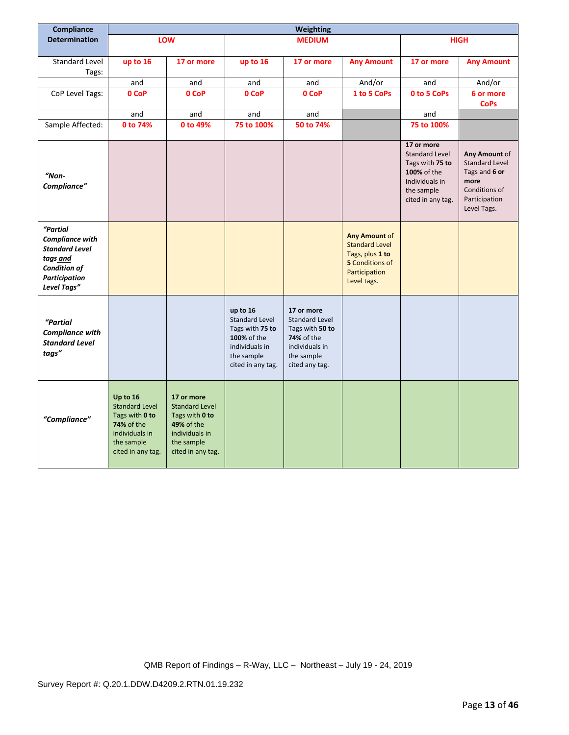| Compliance                                                                                                                     | Weighting                                                                                                                     |                                                                                                                                 |                                                                                                                          |                                                                                                                        |                                                                                                                            |                                                                                                                            |                                                                                                                  |
|--------------------------------------------------------------------------------------------------------------------------------|-------------------------------------------------------------------------------------------------------------------------------|---------------------------------------------------------------------------------------------------------------------------------|--------------------------------------------------------------------------------------------------------------------------|------------------------------------------------------------------------------------------------------------------------|----------------------------------------------------------------------------------------------------------------------------|----------------------------------------------------------------------------------------------------------------------------|------------------------------------------------------------------------------------------------------------------|
| <b>Determination</b>                                                                                                           |                                                                                                                               | <b>LOW</b>                                                                                                                      |                                                                                                                          | <b>MEDIUM</b>                                                                                                          |                                                                                                                            |                                                                                                                            | <b>HIGH</b>                                                                                                      |
|                                                                                                                                |                                                                                                                               |                                                                                                                                 |                                                                                                                          |                                                                                                                        |                                                                                                                            |                                                                                                                            |                                                                                                                  |
| Standard Level<br>Tags:                                                                                                        | up to 16                                                                                                                      | 17 or more                                                                                                                      | up to 16                                                                                                                 | 17 or more                                                                                                             | <b>Any Amount</b>                                                                                                          | 17 or more                                                                                                                 | <b>Any Amount</b>                                                                                                |
|                                                                                                                                | and                                                                                                                           | and                                                                                                                             | and                                                                                                                      | and                                                                                                                    | And/or                                                                                                                     | and                                                                                                                        | And/or                                                                                                           |
| CoP Level Tags:                                                                                                                | 0 CoP                                                                                                                         | 0 CoP                                                                                                                           | 0 CoP                                                                                                                    | 0 CoP                                                                                                                  | 1 to 5 CoPs                                                                                                                | 0 to 5 CoPs                                                                                                                | 6 or more<br><b>CoPs</b>                                                                                         |
|                                                                                                                                | and                                                                                                                           | and                                                                                                                             | and                                                                                                                      | and                                                                                                                    |                                                                                                                            | and                                                                                                                        |                                                                                                                  |
| Sample Affected:                                                                                                               | 0 to 74%                                                                                                                      | 0 to 49%                                                                                                                        | 75 to 100%                                                                                                               | 50 to 74%                                                                                                              |                                                                                                                            | 75 to 100%                                                                                                                 |                                                                                                                  |
| "Non-<br>Compliance"                                                                                                           |                                                                                                                               |                                                                                                                                 |                                                                                                                          |                                                                                                                        |                                                                                                                            | 17 or more<br><b>Standard Level</b><br>Tags with 75 to<br>100% of the<br>Individuals in<br>the sample<br>cited in any tag. | Any Amount of<br><b>Standard Level</b><br>Tags and 6 or<br>more<br>Conditions of<br>Participation<br>Level Tags. |
| "Partial<br><b>Compliance with</b><br><b>Standard Level</b><br>tags and<br><b>Condition of</b><br>Participation<br>Level Tags" |                                                                                                                               |                                                                                                                                 |                                                                                                                          |                                                                                                                        | <b>Any Amount of</b><br><b>Standard Level</b><br>Tags, plus 1 to<br><b>5</b> Conditions of<br>Participation<br>Level tags. |                                                                                                                            |                                                                                                                  |
| "Partial<br><b>Compliance with</b><br><b>Standard Level</b><br>tags"                                                           |                                                                                                                               |                                                                                                                                 | up to 16<br><b>Standard Level</b><br>Tags with 75 to<br>100% of the<br>individuals in<br>the sample<br>cited in any tag. | 17 or more<br>Standard Level<br>Tags with 50 to<br><b>74%</b> of the<br>individuals in<br>the sample<br>cited any tag. |                                                                                                                            |                                                                                                                            |                                                                                                                  |
| "Compliance"                                                                                                                   | Up to 16<br><b>Standard Level</b><br>Tags with 0 to<br><b>74% of the</b><br>individuals in<br>the sample<br>cited in any tag. | 17 or more<br><b>Standard Level</b><br>Tags with 0 to<br><b>49% of the</b><br>individuals in<br>the sample<br>cited in any tag. |                                                                                                                          |                                                                                                                        |                                                                                                                            |                                                                                                                            |                                                                                                                  |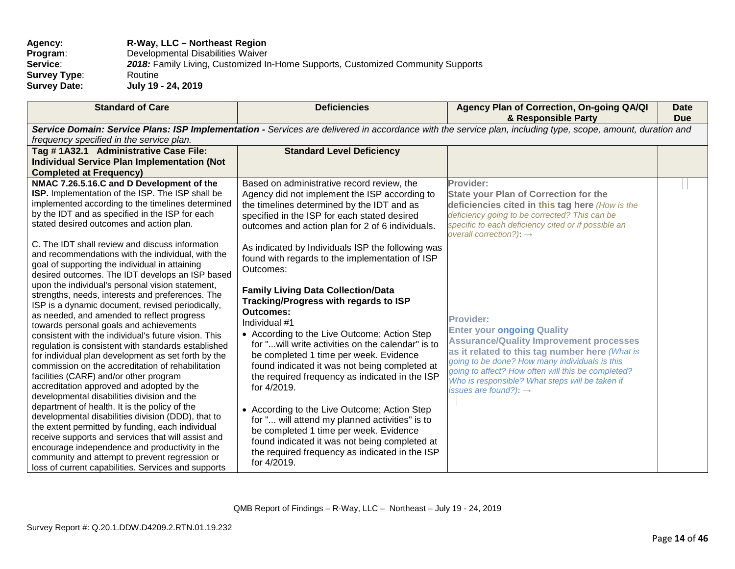| Agency:             | R-Way, LLC – Northeast Region                                                   |
|---------------------|---------------------------------------------------------------------------------|
| Program:            | Developmental Disabilities Waiver                                               |
| Service:            | 2018: Family Living, Customized In-Home Supports, Customized Community Supports |
| <b>Survey Type:</b> | Routine                                                                         |
| <b>Survey Date:</b> | July 19 - 24, 2019                                                              |

| <b>Standard of Care</b>                                                                                                                                     | <b>Deficiencies</b>                                | Agency Plan of Correction, On-going QA/QI<br>& Responsible Party                           | <b>Date</b><br><b>Due</b> |  |  |  |
|-------------------------------------------------------------------------------------------------------------------------------------------------------------|----------------------------------------------------|--------------------------------------------------------------------------------------------|---------------------------|--|--|--|
| Service Domain: Service Plans: ISP Implementation - Services are delivered in accordance with the service plan, including type, scope, amount, duration and |                                                    |                                                                                            |                           |  |  |  |
| frequency specified in the service plan.                                                                                                                    |                                                    |                                                                                            |                           |  |  |  |
| Tag #1A32.1 Administrative Case File:                                                                                                                       | <b>Standard Level Deficiency</b>                   |                                                                                            |                           |  |  |  |
| <b>Individual Service Plan Implementation (Not</b>                                                                                                          |                                                    |                                                                                            |                           |  |  |  |
| <b>Completed at Frequency)</b>                                                                                                                              |                                                    |                                                                                            |                           |  |  |  |
| NMAC 7.26.5.16.C and D Development of the                                                                                                                   | Based on administrative record review, the         | Provider:                                                                                  |                           |  |  |  |
| ISP. Implementation of the ISP. The ISP shall be                                                                                                            | Agency did not implement the ISP according to      | <b>State your Plan of Correction for the</b>                                               |                           |  |  |  |
| implemented according to the timelines determined                                                                                                           | the timelines determined by the IDT and as         | deficiencies cited in this tag here (How is the                                            |                           |  |  |  |
| by the IDT and as specified in the ISP for each                                                                                                             | specified in the ISP for each stated desired       | deficiency going to be corrected? This can be                                              |                           |  |  |  |
| stated desired outcomes and action plan.                                                                                                                    | outcomes and action plan for 2 of 6 individuals.   | specific to each deficiency cited or if possible an<br>overall correction?): $\rightarrow$ |                           |  |  |  |
| C. The IDT shall review and discuss information                                                                                                             | As indicated by Individuals ISP the following was  |                                                                                            |                           |  |  |  |
| and recommendations with the individual, with the                                                                                                           | found with regards to the implementation of ISP    |                                                                                            |                           |  |  |  |
| goal of supporting the individual in attaining                                                                                                              | Outcomes:                                          |                                                                                            |                           |  |  |  |
| desired outcomes. The IDT develops an ISP based                                                                                                             |                                                    |                                                                                            |                           |  |  |  |
| upon the individual's personal vision statement,                                                                                                            | <b>Family Living Data Collection/Data</b>          |                                                                                            |                           |  |  |  |
| strengths, needs, interests and preferences. The                                                                                                            | Tracking/Progress with regards to ISP              |                                                                                            |                           |  |  |  |
| ISP is a dynamic document, revised periodically,                                                                                                            | Outcomes:                                          |                                                                                            |                           |  |  |  |
| as needed, and amended to reflect progress<br>towards personal goals and achievements                                                                       | Individual #1                                      | <b>Provider:</b>                                                                           |                           |  |  |  |
| consistent with the individual's future vision. This                                                                                                        | • According to the Live Outcome; Action Step       | <b>Enter your ongoing Quality</b>                                                          |                           |  |  |  |
| regulation is consistent with standards established                                                                                                         | for " will write activities on the calendar" is to | <b>Assurance/Quality Improvement processes</b>                                             |                           |  |  |  |
| for individual plan development as set forth by the                                                                                                         | be completed 1 time per week. Evidence             | as it related to this tag number here (What is                                             |                           |  |  |  |
| commission on the accreditation of rehabilitation                                                                                                           | found indicated it was not being completed at      | going to be done? How many individuals is this                                             |                           |  |  |  |
| facilities (CARF) and/or other program                                                                                                                      | the required frequency as indicated in the ISP     | going to affect? How often will this be completed?                                         |                           |  |  |  |
| accreditation approved and adopted by the                                                                                                                   | for 4/2019.                                        | Who is responsible? What steps will be taken if                                            |                           |  |  |  |
| developmental disabilities division and the                                                                                                                 |                                                    | issues are found?): $\rightarrow$                                                          |                           |  |  |  |
| department of health. It is the policy of the                                                                                                               | • According to the Live Outcome; Action Step       |                                                                                            |                           |  |  |  |
| developmental disabilities division (DDD), that to                                                                                                          | for " will attend my planned activities" is to     |                                                                                            |                           |  |  |  |
| the extent permitted by funding, each individual                                                                                                            | be completed 1 time per week. Evidence             |                                                                                            |                           |  |  |  |
| receive supports and services that will assist and                                                                                                          | found indicated it was not being completed at      |                                                                                            |                           |  |  |  |
| encourage independence and productivity in the                                                                                                              | the required frequency as indicated in the ISP     |                                                                                            |                           |  |  |  |
| community and attempt to prevent regression or                                                                                                              | for 4/2019.                                        |                                                                                            |                           |  |  |  |
| loss of current capabilities. Services and supports                                                                                                         |                                                    |                                                                                            |                           |  |  |  |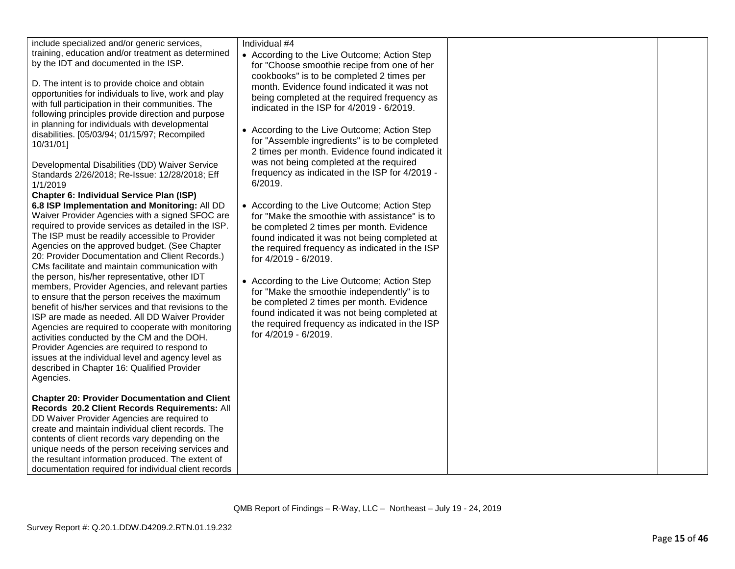| include specialized and/or generic services,<br>training, education and/or treatment as determined<br>by the IDT and documented in the ISP.<br>D. The intent is to provide choice and obtain<br>opportunities for individuals to live, work and play<br>with full participation in their communities. The<br>following principles provide direction and purpose<br>in planning for individuals with developmental<br>disabilities. [05/03/94; 01/15/97; Recompiled<br>10/31/01]<br>Developmental Disabilities (DD) Waiver Service<br>Standards 2/26/2018; Re-Issue: 12/28/2018; Eff<br>1/1/2019<br><b>Chapter 6: Individual Service Plan (ISP)</b><br>6.8 ISP Implementation and Monitoring: All DD<br>Waiver Provider Agencies with a signed SFOC are<br>required to provide services as detailed in the ISP.<br>The ISP must be readily accessible to Provider<br>Agencies on the approved budget. (See Chapter<br>20: Provider Documentation and Client Records.)<br>CMs facilitate and maintain communication with<br>the person, his/her representative, other IDT<br>members, Provider Agencies, and relevant parties<br>to ensure that the person receives the maximum<br>benefit of his/her services and that revisions to the<br>ISP are made as needed. All DD Waiver Provider<br>Agencies are required to cooperate with monitoring<br>activities conducted by the CM and the DOH.<br>Provider Agencies are required to respond to<br>issues at the individual level and agency level as<br>described in Chapter 16: Qualified Provider<br>Agencies. | Individual #4<br>• According to the Live Outcome; Action Step<br>for "Choose smoothie recipe from one of her<br>cookbooks" is to be completed 2 times per<br>month. Evidence found indicated it was not<br>being completed at the required frequency as<br>indicated in the ISP for 4/2019 - 6/2019.<br>• According to the Live Outcome; Action Step<br>for "Assemble ingredients" is to be completed<br>2 times per month. Evidence found indicated it<br>was not being completed at the required<br>frequency as indicated in the ISP for 4/2019 -<br>6/2019.<br>• According to the Live Outcome; Action Step<br>for "Make the smoothie with assistance" is to<br>be completed 2 times per month. Evidence<br>found indicated it was not being completed at<br>the required frequency as indicated in the ISP<br>for 4/2019 - 6/2019.<br>• According to the Live Outcome; Action Step<br>for "Make the smoothie independently" is to<br>be completed 2 times per month. Evidence<br>found indicated it was not being completed at<br>the required frequency as indicated in the ISP<br>for 4/2019 - 6/2019. |  |
|-----------------------------------------------------------------------------------------------------------------------------------------------------------------------------------------------------------------------------------------------------------------------------------------------------------------------------------------------------------------------------------------------------------------------------------------------------------------------------------------------------------------------------------------------------------------------------------------------------------------------------------------------------------------------------------------------------------------------------------------------------------------------------------------------------------------------------------------------------------------------------------------------------------------------------------------------------------------------------------------------------------------------------------------------------------------------------------------------------------------------------------------------------------------------------------------------------------------------------------------------------------------------------------------------------------------------------------------------------------------------------------------------------------------------------------------------------------------------------------------------------------------------------------------------------------------|---------------------------------------------------------------------------------------------------------------------------------------------------------------------------------------------------------------------------------------------------------------------------------------------------------------------------------------------------------------------------------------------------------------------------------------------------------------------------------------------------------------------------------------------------------------------------------------------------------------------------------------------------------------------------------------------------------------------------------------------------------------------------------------------------------------------------------------------------------------------------------------------------------------------------------------------------------------------------------------------------------------------------------------------------------------------------------------------------------------|--|
| <b>Chapter 20: Provider Documentation and Client</b><br>Records 20.2 Client Records Requirements: All<br>DD Waiver Provider Agencies are required to<br>create and maintain individual client records. The<br>contents of client records vary depending on the<br>unique needs of the person receiving services and<br>the resultant information produced. The extent of<br>documentation required for individual client records                                                                                                                                                                                                                                                                                                                                                                                                                                                                                                                                                                                                                                                                                                                                                                                                                                                                                                                                                                                                                                                                                                                                |                                                                                                                                                                                                                                                                                                                                                                                                                                                                                                                                                                                                                                                                                                                                                                                                                                                                                                                                                                                                                                                                                                               |  |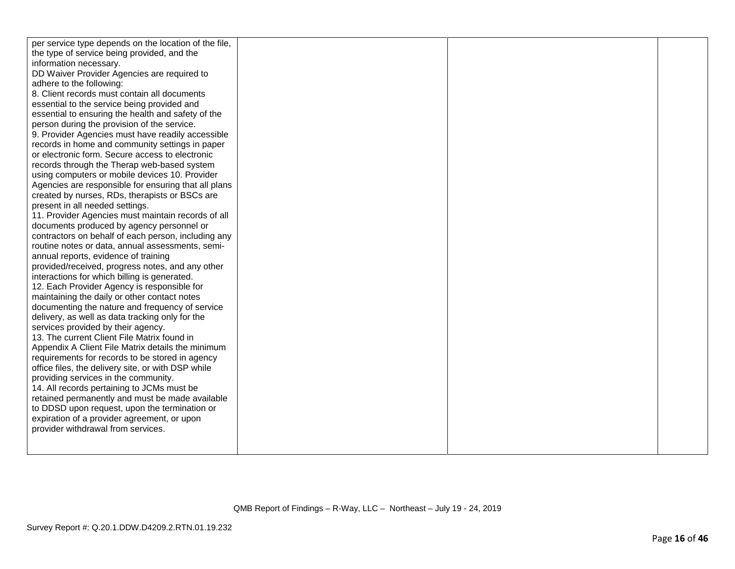| per service type depends on the location of the file, |  |  |
|-------------------------------------------------------|--|--|
| the type of service being provided, and the           |  |  |
| information necessary.                                |  |  |
| DD Waiver Provider Agencies are required to           |  |  |
| adhere to the following:                              |  |  |
| 8. Client records must contain all documents          |  |  |
| essential to the service being provided and           |  |  |
| essential to ensuring the health and safety of the    |  |  |
| person during the provision of the service.           |  |  |
| 9. Provider Agencies must have readily accessible     |  |  |
| records in home and community settings in paper       |  |  |
| or electronic form. Secure access to electronic       |  |  |
| records through the Therap web-based system           |  |  |
| using computers or mobile devices 10. Provider        |  |  |
| Agencies are responsible for ensuring that all plans  |  |  |
| created by nurses, RDs, therapists or BSCs are        |  |  |
| present in all needed settings.                       |  |  |
| 11. Provider Agencies must maintain records of all    |  |  |
| documents produced by agency personnel or             |  |  |
| contractors on behalf of each person, including any   |  |  |
| routine notes or data, annual assessments, semi-      |  |  |
| annual reports, evidence of training                  |  |  |
| provided/received, progress notes, and any other      |  |  |
| interactions for which billing is generated.          |  |  |
| 12. Each Provider Agency is responsible for           |  |  |
| maintaining the daily or other contact notes          |  |  |
| documenting the nature and frequency of service       |  |  |
| delivery, as well as data tracking only for the       |  |  |
| services provided by their agency.                    |  |  |
| 13. The current Client File Matrix found in           |  |  |
| Appendix A Client File Matrix details the minimum     |  |  |
| requirements for records to be stored in agency       |  |  |
| office files, the delivery site, or with DSP while    |  |  |
| providing services in the community.                  |  |  |
| 14. All records pertaining to JCMs must be            |  |  |
| retained permanently and must be made available       |  |  |
| to DDSD upon request, upon the termination or         |  |  |
| expiration of a provider agreement, or upon           |  |  |
| provider withdrawal from services.                    |  |  |
|                                                       |  |  |
|                                                       |  |  |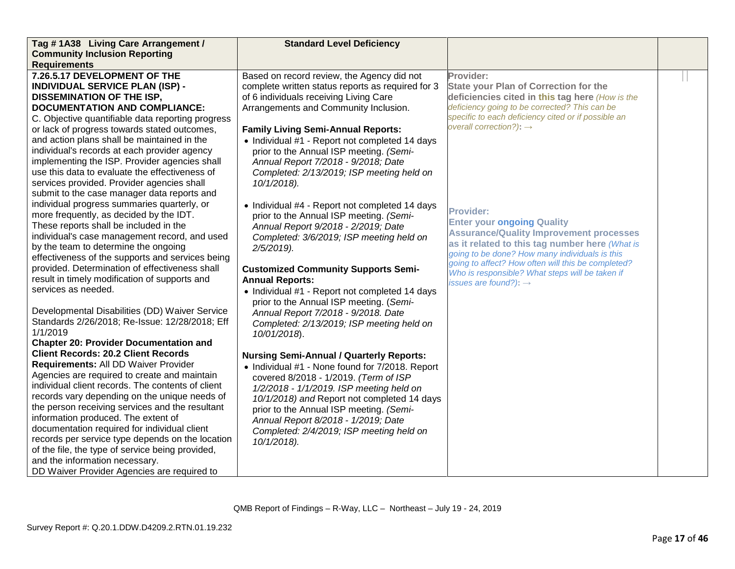| Tag #1A38 Living Care Arrangement /                                                    | <b>Standard Level Deficiency</b>                  |                                                                                     |  |
|----------------------------------------------------------------------------------------|---------------------------------------------------|-------------------------------------------------------------------------------------|--|
| <b>Community Inclusion Reporting</b>                                                   |                                                   |                                                                                     |  |
| <b>Requirements</b>                                                                    |                                                   |                                                                                     |  |
| 7.26.5.17 DEVELOPMENT OF THE                                                           | Based on record review, the Agency did not        | Provider:                                                                           |  |
| <b>INDIVIDUAL SERVICE PLAN (ISP) -</b>                                                 | complete written status reports as required for 3 | <b>State your Plan of Correction for the</b>                                        |  |
| <b>DISSEMINATION OF THE ISP,</b>                                                       | of 6 individuals receiving Living Care            | deficiencies cited in this tag here (How is the                                     |  |
| <b>DOCUMENTATION AND COMPLIANCE:</b>                                                   | Arrangements and Community Inclusion.             | deficiency going to be corrected? This can be                                       |  |
| C. Objective quantifiable data reporting progress                                      |                                                   | specific to each deficiency cited or if possible an                                 |  |
| or lack of progress towards stated outcomes,                                           | <b>Family Living Semi-Annual Reports:</b>         | overall correction?): $\rightarrow$                                                 |  |
| and action plans shall be maintained in the                                            | • Individual #1 - Report not completed 14 days    |                                                                                     |  |
| individual's records at each provider agency                                           | prior to the Annual ISP meeting. (Semi-           |                                                                                     |  |
| implementing the ISP. Provider agencies shall                                          | Annual Report 7/2018 - 9/2018; Date               |                                                                                     |  |
| use this data to evaluate the effectiveness of                                         | Completed: 2/13/2019; ISP meeting held on         |                                                                                     |  |
| services provided. Provider agencies shall                                             | 10/1/2018).                                       |                                                                                     |  |
| submit to the case manager data reports and                                            |                                                   |                                                                                     |  |
| individual progress summaries quarterly, or                                            | • Individual #4 - Report not completed 14 days    | <b>Provider:</b>                                                                    |  |
| more frequently, as decided by the IDT.                                                | prior to the Annual ISP meeting. (Semi-           |                                                                                     |  |
| These reports shall be included in the                                                 | Annual Report 9/2018 - 2/2019; Date               | <b>Enter your ongoing Quality</b><br><b>Assurance/Quality Improvement processes</b> |  |
| individual's case management record, and used                                          | Completed: 3/6/2019; ISP meeting held on          | as it related to this tag number here (What is                                      |  |
| by the team to determine the ongoing                                                   | 2/5/2019).                                        | going to be done? How many individuals is this                                      |  |
| effectiveness of the supports and services being                                       |                                                   | going to affect? How often will this be completed?                                  |  |
| provided. Determination of effectiveness shall                                         | <b>Customized Community Supports Semi-</b>        | Who is responsible? What steps will be taken if                                     |  |
| result in timely modification of supports and                                          | <b>Annual Reports:</b>                            | issues are found?): $\rightarrow$                                                   |  |
| services as needed.                                                                    | • Individual #1 - Report not completed 14 days    |                                                                                     |  |
|                                                                                        | prior to the Annual ISP meeting. (Semi-           |                                                                                     |  |
| Developmental Disabilities (DD) Waiver Service                                         | Annual Report 7/2018 - 9/2018. Date               |                                                                                     |  |
| Standards 2/26/2018; Re-Issue: 12/28/2018; Eff                                         | Completed: 2/13/2019; ISP meeting held on         |                                                                                     |  |
| 1/1/2019                                                                               | 10/01/2018).                                      |                                                                                     |  |
| <b>Chapter 20: Provider Documentation and</b>                                          |                                                   |                                                                                     |  |
| <b>Client Records: 20.2 Client Records</b>                                             | <b>Nursing Semi-Annual / Quarterly Reports:</b>   |                                                                                     |  |
| Requirements: All DD Waiver Provider                                                   | • Individual #1 - None found for 7/2018. Report   |                                                                                     |  |
| Agencies are required to create and maintain                                           | covered 8/2018 - 1/2019. (Term of ISP             |                                                                                     |  |
| individual client records. The contents of client                                      | 1/2/2018 - 1/1/2019. ISP meeting held on          |                                                                                     |  |
| records vary depending on the unique needs of                                          | 10/1/2018) and Report not completed 14 days       |                                                                                     |  |
| the person receiving services and the resultant<br>information produced. The extent of | prior to the Annual ISP meeting. (Semi-           |                                                                                     |  |
| documentation required for individual client                                           | Annual Report 8/2018 - 1/2019; Date               |                                                                                     |  |
| records per service type depends on the location                                       | Completed: 2/4/2019; ISP meeting held on          |                                                                                     |  |
| of the file, the type of service being provided,                                       | 10/1/2018).                                       |                                                                                     |  |
| and the information necessary.                                                         |                                                   |                                                                                     |  |
|                                                                                        |                                                   |                                                                                     |  |
| DD Waiver Provider Agencies are required to                                            |                                                   |                                                                                     |  |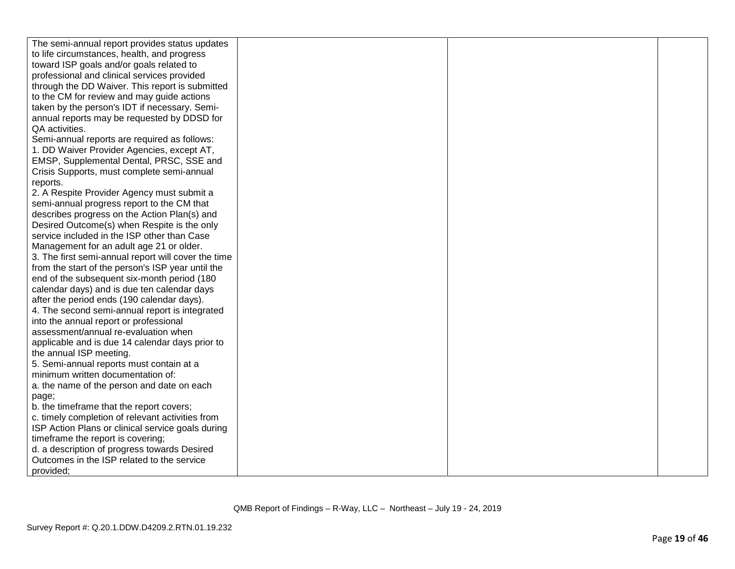| The semi-annual report provides status updates      |  |  |
|-----------------------------------------------------|--|--|
| to life circumstances, health, and progress         |  |  |
| toward ISP goals and/or goals related to            |  |  |
| professional and clinical services provided         |  |  |
| through the DD Waiver. This report is submitted     |  |  |
| to the CM for review and may guide actions          |  |  |
| taken by the person's IDT if necessary. Semi-       |  |  |
| annual reports may be requested by DDSD for         |  |  |
| QA activities.                                      |  |  |
| Semi-annual reports are required as follows:        |  |  |
| 1. DD Waiver Provider Agencies, except AT,          |  |  |
| EMSP, Supplemental Dental, PRSC, SSE and            |  |  |
| Crisis Supports, must complete semi-annual          |  |  |
| reports.                                            |  |  |
| 2. A Respite Provider Agency must submit a          |  |  |
| semi-annual progress report to the CM that          |  |  |
| describes progress on the Action Plan(s) and        |  |  |
| Desired Outcome(s) when Respite is the only         |  |  |
| service included in the ISP other than Case         |  |  |
| Management for an adult age 21 or older.            |  |  |
| 3. The first semi-annual report will cover the time |  |  |
| from the start of the person's ISP year until the   |  |  |
| end of the subsequent six-month period (180         |  |  |
| calendar days) and is due ten calendar days         |  |  |
| after the period ends (190 calendar days).          |  |  |
| 4. The second semi-annual report is integrated      |  |  |
| into the annual report or professional              |  |  |
| assessment/annual re-evaluation when                |  |  |
| applicable and is due 14 calendar days prior to     |  |  |
| the annual ISP meeting.                             |  |  |
| 5. Semi-annual reports must contain at a            |  |  |
| minimum written documentation of:                   |  |  |
| a. the name of the person and date on each          |  |  |
| page;                                               |  |  |
| b. the timeframe that the report covers;            |  |  |
| c. timely completion of relevant activities from    |  |  |
| ISP Action Plans or clinical service goals during   |  |  |
| timeframe the report is covering;                   |  |  |
| d. a description of progress towards Desired        |  |  |
| Outcomes in the ISP related to the service          |  |  |
| provided;                                           |  |  |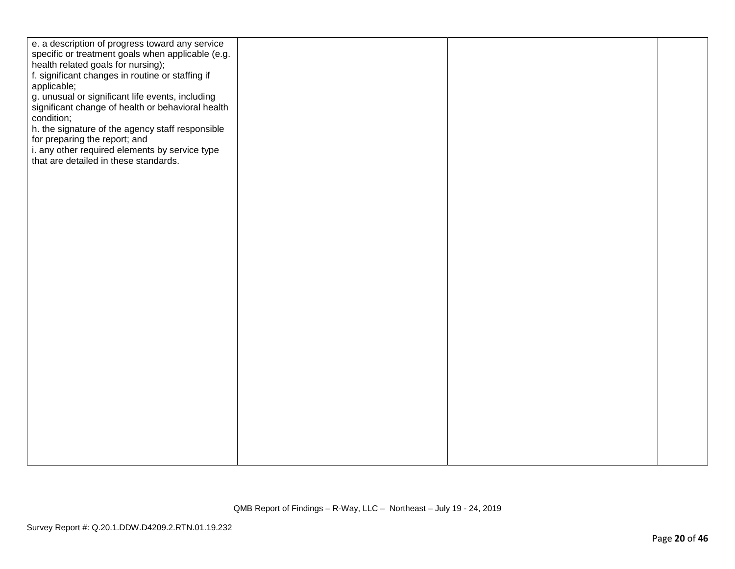| e. a description of progress toward any service<br>specific or treatment goals when applicable (e.g.<br>health related goals for nursing);<br>f. significant changes in routine or staffing if<br>applicable;<br>g. unusual or significant life events, including<br>significant change of health or behavioral health<br>condition;<br>h. the signature of the agency staff responsible<br>for preparing the report; and<br>i. any other required elements by service type<br>that are detailed in these standards. |  |  |
|----------------------------------------------------------------------------------------------------------------------------------------------------------------------------------------------------------------------------------------------------------------------------------------------------------------------------------------------------------------------------------------------------------------------------------------------------------------------------------------------------------------------|--|--|
|                                                                                                                                                                                                                                                                                                                                                                                                                                                                                                                      |  |  |
|                                                                                                                                                                                                                                                                                                                                                                                                                                                                                                                      |  |  |
|                                                                                                                                                                                                                                                                                                                                                                                                                                                                                                                      |  |  |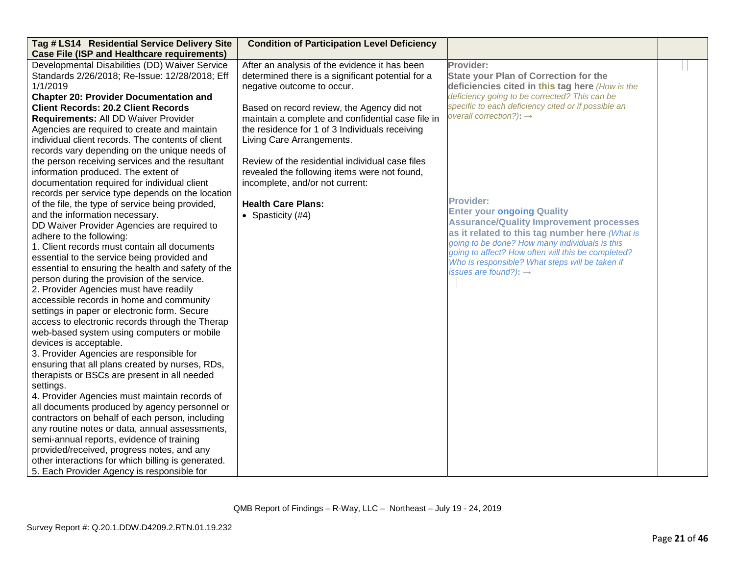| Tag # LS14 Residential Service Delivery Site<br><b>Case File (ISP and Healthcare requirements)</b>                                                                                                                                                                                                                                                                                                                                                                                                                                                                                                                                                                                                                                                                                                                                                                                                                                                                                                                                                                                                                                                                                                                                                                                                                                                                                                                                                                                                                                                                                                                                                                                                                                                                                                              | <b>Condition of Participation Level Deficiency</b>                                                                                                                                                                                                                                                                                                                                                                                                                                                           |                                                                                                                                                                                                                                                                                                                                                                                                                                                                                                                                                                                                                          |  |
|-----------------------------------------------------------------------------------------------------------------------------------------------------------------------------------------------------------------------------------------------------------------------------------------------------------------------------------------------------------------------------------------------------------------------------------------------------------------------------------------------------------------------------------------------------------------------------------------------------------------------------------------------------------------------------------------------------------------------------------------------------------------------------------------------------------------------------------------------------------------------------------------------------------------------------------------------------------------------------------------------------------------------------------------------------------------------------------------------------------------------------------------------------------------------------------------------------------------------------------------------------------------------------------------------------------------------------------------------------------------------------------------------------------------------------------------------------------------------------------------------------------------------------------------------------------------------------------------------------------------------------------------------------------------------------------------------------------------------------------------------------------------------------------------------------------------|--------------------------------------------------------------------------------------------------------------------------------------------------------------------------------------------------------------------------------------------------------------------------------------------------------------------------------------------------------------------------------------------------------------------------------------------------------------------------------------------------------------|--------------------------------------------------------------------------------------------------------------------------------------------------------------------------------------------------------------------------------------------------------------------------------------------------------------------------------------------------------------------------------------------------------------------------------------------------------------------------------------------------------------------------------------------------------------------------------------------------------------------------|--|
| Developmental Disabilities (DD) Waiver Service<br>Standards 2/26/2018; Re-Issue: 12/28/2018; Eff<br>1/1/2019<br><b>Chapter 20: Provider Documentation and</b><br><b>Client Records: 20.2 Client Records</b><br>Requirements: All DD Waiver Provider<br>Agencies are required to create and maintain<br>individual client records. The contents of client<br>records vary depending on the unique needs of<br>the person receiving services and the resultant<br>information produced. The extent of<br>documentation required for individual client<br>records per service type depends on the location<br>of the file, the type of service being provided,<br>and the information necessary.<br>DD Waiver Provider Agencies are required to<br>adhere to the following:<br>1. Client records must contain all documents<br>essential to the service being provided and<br>essential to ensuring the health and safety of the<br>person during the provision of the service.<br>2. Provider Agencies must have readily<br>accessible records in home and community<br>settings in paper or electronic form. Secure<br>access to electronic records through the Therap<br>web-based system using computers or mobile<br>devices is acceptable.<br>3. Provider Agencies are responsible for<br>ensuring that all plans created by nurses, RDs,<br>therapists or BSCs are present in all needed<br>settings.<br>4. Provider Agencies must maintain records of<br>all documents produced by agency personnel or<br>contractors on behalf of each person, including<br>any routine notes or data, annual assessments,<br>semi-annual reports, evidence of training<br>provided/received, progress notes, and any<br>other interactions for which billing is generated.<br>5. Each Provider Agency is responsible for | After an analysis of the evidence it has been<br>determined there is a significant potential for a<br>negative outcome to occur.<br>Based on record review, the Agency did not<br>maintain a complete and confidential case file in<br>the residence for 1 of 3 Individuals receiving<br>Living Care Arrangements.<br>Review of the residential individual case files<br>revealed the following items were not found,<br>incomplete, and/or not current:<br><b>Health Care Plans:</b><br>• Spasticity $(#4)$ | Provider:<br><b>State your Plan of Correction for the</b><br>deficiencies cited in this tag here (How is the<br>deficiency going to be corrected? This can be<br>specific to each deficiency cited or if possible an<br>overall correction?): $\rightarrow$<br><b>Provider:</b><br><b>Enter your ongoing Quality</b><br><b>Assurance/Quality Improvement processes</b><br>as it related to this tag number here (What is<br>going to be done? How many individuals is this<br>going to affect? How often will this be completed?<br>Who is responsible? What steps will be taken if<br>issues are found?): $\rightarrow$ |  |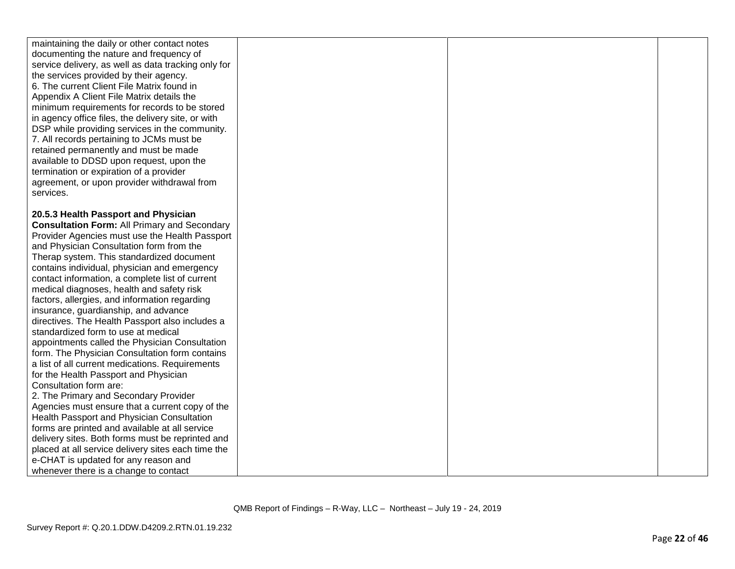| maintaining the daily or other contact notes        |  |  |
|-----------------------------------------------------|--|--|
| documenting the nature and frequency of             |  |  |
| service delivery, as well as data tracking only for |  |  |
| the services provided by their agency.              |  |  |
| 6. The current Client File Matrix found in          |  |  |
| Appendix A Client File Matrix details the           |  |  |
| minimum requirements for records to be stored       |  |  |
| in agency office files, the delivery site, or with  |  |  |
| DSP while providing services in the community.      |  |  |
| 7. All records pertaining to JCMs must be           |  |  |
| retained permanently and must be made               |  |  |
| available to DDSD upon request, upon the            |  |  |
| termination or expiration of a provider             |  |  |
| agreement, or upon provider withdrawal from         |  |  |
| services.                                           |  |  |
|                                                     |  |  |
| 20.5.3 Health Passport and Physician                |  |  |
| <b>Consultation Form: All Primary and Secondary</b> |  |  |
| Provider Agencies must use the Health Passport      |  |  |
| and Physician Consultation form from the            |  |  |
| Therap system. This standardized document           |  |  |
| contains individual, physician and emergency        |  |  |
| contact information, a complete list of current     |  |  |
| medical diagnoses, health and safety risk           |  |  |
| factors, allergies, and information regarding       |  |  |
| insurance, guardianship, and advance                |  |  |
| directives. The Health Passport also includes a     |  |  |
| standardized form to use at medical                 |  |  |
| appointments called the Physician Consultation      |  |  |
| form. The Physician Consultation form contains      |  |  |
| a list of all current medications. Requirements     |  |  |
| for the Health Passport and Physician               |  |  |
| Consultation form are:                              |  |  |
| 2. The Primary and Secondary Provider               |  |  |
| Agencies must ensure that a current copy of the     |  |  |
| Health Passport and Physician Consultation          |  |  |
| forms are printed and available at all service      |  |  |
| delivery sites. Both forms must be reprinted and    |  |  |
| placed at all service delivery sites each time the  |  |  |
| e-CHAT is updated for any reason and                |  |  |
| whenever there is a change to contact               |  |  |
|                                                     |  |  |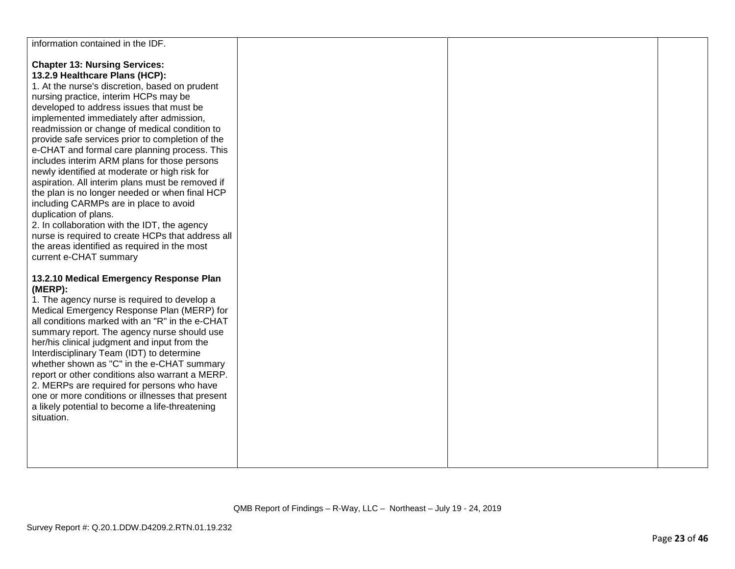| information contained in the IDF.                                                             |  |  |
|-----------------------------------------------------------------------------------------------|--|--|
| <b>Chapter 13: Nursing Services:</b>                                                          |  |  |
| 13.2.9 Healthcare Plans (HCP):                                                                |  |  |
| 1. At the nurse's discretion, based on prudent                                                |  |  |
| nursing practice, interim HCPs may be                                                         |  |  |
| developed to address issues that must be                                                      |  |  |
| implemented immediately after admission,                                                      |  |  |
| readmission or change of medical condition to                                                 |  |  |
| provide safe services prior to completion of the                                              |  |  |
| e-CHAT and formal care planning process. This<br>includes interim ARM plans for those persons |  |  |
| newly identified at moderate or high risk for                                                 |  |  |
| aspiration. All interim plans must be removed if                                              |  |  |
| the plan is no longer needed or when final HCP                                                |  |  |
| including CARMPs are in place to avoid                                                        |  |  |
| duplication of plans.                                                                         |  |  |
| 2. In collaboration with the IDT, the agency                                                  |  |  |
| nurse is required to create HCPs that address all                                             |  |  |
| the areas identified as required in the most                                                  |  |  |
| current e-CHAT summary                                                                        |  |  |
| 13.2.10 Medical Emergency Response Plan                                                       |  |  |
| (MERP):                                                                                       |  |  |
| 1. The agency nurse is required to develop a                                                  |  |  |
| Medical Emergency Response Plan (MERP) for                                                    |  |  |
| all conditions marked with an "R" in the e-CHAT                                               |  |  |
| summary report. The agency nurse should use                                                   |  |  |
| her/his clinical judgment and input from the<br>Interdisciplinary Team (IDT) to determine     |  |  |
| whether shown as "C" in the e-CHAT summary                                                    |  |  |
| report or other conditions also warrant a MERP.                                               |  |  |
| 2. MERPs are required for persons who have                                                    |  |  |
| one or more conditions or illnesses that present                                              |  |  |
| a likely potential to become a life-threatening                                               |  |  |
| situation.                                                                                    |  |  |
|                                                                                               |  |  |
|                                                                                               |  |  |
|                                                                                               |  |  |
|                                                                                               |  |  |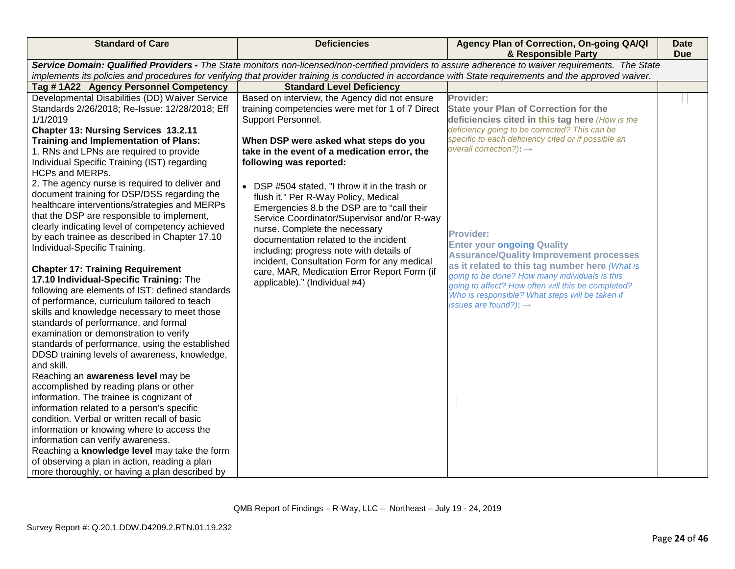| <b>Standard of Care</b>                                                                                                                                                                                                                                                                                                                                                                                                                                                                                                                                                                                                                                                                                                                                                                                                                                                                                                                                                                                                                                                                                                                                                                                                                                                    | <b>Deficiencies</b>                                                                                                                                                                                                                                                                                                                                                                                                                                                                                                                                                                                                                                                                                                                                                                                                                                                                    | Agency Plan of Correction, On-going QA/QI<br>& Responsible Party                                                                                                                                                                                                                                                                                                                                                                                                                                                                                                                                                         | <b>Date</b><br><b>Due</b> |
|----------------------------------------------------------------------------------------------------------------------------------------------------------------------------------------------------------------------------------------------------------------------------------------------------------------------------------------------------------------------------------------------------------------------------------------------------------------------------------------------------------------------------------------------------------------------------------------------------------------------------------------------------------------------------------------------------------------------------------------------------------------------------------------------------------------------------------------------------------------------------------------------------------------------------------------------------------------------------------------------------------------------------------------------------------------------------------------------------------------------------------------------------------------------------------------------------------------------------------------------------------------------------|----------------------------------------------------------------------------------------------------------------------------------------------------------------------------------------------------------------------------------------------------------------------------------------------------------------------------------------------------------------------------------------------------------------------------------------------------------------------------------------------------------------------------------------------------------------------------------------------------------------------------------------------------------------------------------------------------------------------------------------------------------------------------------------------------------------------------------------------------------------------------------------|--------------------------------------------------------------------------------------------------------------------------------------------------------------------------------------------------------------------------------------------------------------------------------------------------------------------------------------------------------------------------------------------------------------------------------------------------------------------------------------------------------------------------------------------------------------------------------------------------------------------------|---------------------------|
|                                                                                                                                                                                                                                                                                                                                                                                                                                                                                                                                                                                                                                                                                                                                                                                                                                                                                                                                                                                                                                                                                                                                                                                                                                                                            |                                                                                                                                                                                                                                                                                                                                                                                                                                                                                                                                                                                                                                                                                                                                                                                                                                                                                        | Service Domain: Qualified Providers - The State monitors non-licensed/non-certified providers to assure adherence to waiver requirements. The State                                                                                                                                                                                                                                                                                                                                                                                                                                                                      |                           |
|                                                                                                                                                                                                                                                                                                                                                                                                                                                                                                                                                                                                                                                                                                                                                                                                                                                                                                                                                                                                                                                                                                                                                                                                                                                                            |                                                                                                                                                                                                                                                                                                                                                                                                                                                                                                                                                                                                                                                                                                                                                                                                                                                                                        |                                                                                                                                                                                                                                                                                                                                                                                                                                                                                                                                                                                                                          |                           |
| Tag #1A22 Agency Personnel Competency<br>Developmental Disabilities (DD) Waiver Service<br>Standards 2/26/2018; Re-Issue: 12/28/2018; Eff<br>1/1/2019<br>Chapter 13: Nursing Services 13.2.11<br><b>Training and Implementation of Plans:</b><br>1. RNs and LPNs are required to provide<br>Individual Specific Training (IST) regarding<br>HCPs and MERPs.<br>2. The agency nurse is required to deliver and<br>document training for DSP/DSS regarding the<br>healthcare interventions/strategies and MERPs<br>that the DSP are responsible to implement,<br>clearly indicating level of competency achieved<br>by each trainee as described in Chapter 17.10<br>Individual-Specific Training.<br><b>Chapter 17: Training Requirement</b><br>17.10 Individual-Specific Training: The<br>following are elements of IST: defined standards<br>of performance, curriculum tailored to teach<br>skills and knowledge necessary to meet those<br>standards of performance, and formal<br>examination or demonstration to verify<br>standards of performance, using the established<br>DDSD training levels of awareness, knowledge,<br>and skill.<br>Reaching an awareness level may be<br>accomplished by reading plans or other<br>information. The trainee is cognizant of | implements its policies and procedures for verifying that provider training is conducted in accordance with State requirements and the approved waiver.<br><b>Standard Level Deficiency</b><br>Based on interview, the Agency did not ensure<br>training competencies were met for 1 of 7 Direct<br>Support Personnel.<br>When DSP were asked what steps do you<br>take in the event of a medication error, the<br>following was reported:<br>• DSP #504 stated, "I throw it in the trash or<br>flush it." Per R-Way Policy, Medical<br>Emergencies 8.b the DSP are to "call their<br>Service Coordinator/Supervisor and/or R-way<br>nurse. Complete the necessary<br>documentation related to the incident<br>including; progress note with details of<br>incident, Consultation Form for any medical<br>care, MAR, Medication Error Report Form (if<br>applicable)." (Individual #4) | Provider:<br><b>State your Plan of Correction for the</b><br>deficiencies cited in this tag here (How is the<br>deficiency going to be corrected? This can be<br>specific to each deficiency cited or if possible an<br>overall correction?): $\rightarrow$<br><b>Provider:</b><br><b>Enter your ongoing Quality</b><br><b>Assurance/Quality Improvement processes</b><br>as it related to this tag number here (What is<br>going to be done? How many individuals is this<br>going to affect? How often will this be completed?<br>Who is responsible? What steps will be taken if<br>issues are found?): $\rightarrow$ |                           |
| information related to a person's specific<br>condition. Verbal or written recall of basic<br>information or knowing where to access the<br>information can verify awareness.<br>Reaching a knowledge level may take the form                                                                                                                                                                                                                                                                                                                                                                                                                                                                                                                                                                                                                                                                                                                                                                                                                                                                                                                                                                                                                                              |                                                                                                                                                                                                                                                                                                                                                                                                                                                                                                                                                                                                                                                                                                                                                                                                                                                                                        |                                                                                                                                                                                                                                                                                                                                                                                                                                                                                                                                                                                                                          |                           |
| of observing a plan in action, reading a plan<br>more thoroughly, or having a plan described by                                                                                                                                                                                                                                                                                                                                                                                                                                                                                                                                                                                                                                                                                                                                                                                                                                                                                                                                                                                                                                                                                                                                                                            |                                                                                                                                                                                                                                                                                                                                                                                                                                                                                                                                                                                                                                                                                                                                                                                                                                                                                        |                                                                                                                                                                                                                                                                                                                                                                                                                                                                                                                                                                                                                          |                           |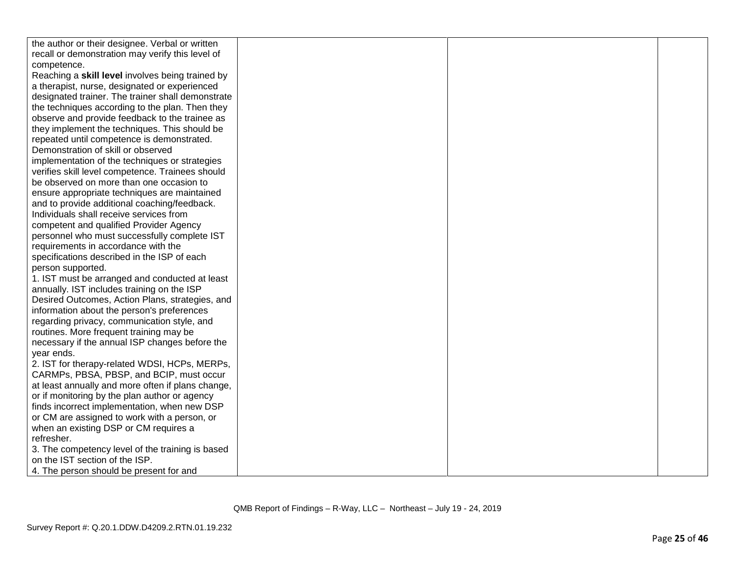| the author or their designee. Verbal or written   |  |  |
|---------------------------------------------------|--|--|
| recall or demonstration may verify this level of  |  |  |
| competence.                                       |  |  |
| Reaching a skill level involves being trained by  |  |  |
| a therapist, nurse, designated or experienced     |  |  |
| designated trainer. The trainer shall demonstrate |  |  |
| the techniques according to the plan. Then they   |  |  |
| observe and provide feedback to the trainee as    |  |  |
| they implement the techniques. This should be     |  |  |
| repeated until competence is demonstrated.        |  |  |
| Demonstration of skill or observed                |  |  |
| implementation of the techniques or strategies    |  |  |
| verifies skill level competence. Trainees should  |  |  |
| be observed on more than one occasion to          |  |  |
| ensure appropriate techniques are maintained      |  |  |
| and to provide additional coaching/feedback.      |  |  |
| Individuals shall receive services from           |  |  |
| competent and qualified Provider Agency           |  |  |
| personnel who must successfully complete IST      |  |  |
| requirements in accordance with the               |  |  |
| specifications described in the ISP of each       |  |  |
| person supported.                                 |  |  |
| 1. IST must be arranged and conducted at least    |  |  |
| annually. IST includes training on the ISP        |  |  |
| Desired Outcomes, Action Plans, strategies, and   |  |  |
| information about the person's preferences        |  |  |
| regarding privacy, communication style, and       |  |  |
| routines. More frequent training may be           |  |  |
| necessary if the annual ISP changes before the    |  |  |
| year ends.                                        |  |  |
| 2. IST for therapy-related WDSI, HCPs, MERPs,     |  |  |
| CARMPs, PBSA, PBSP, and BCIP, must occur          |  |  |
| at least annually and more often if plans change, |  |  |
| or if monitoring by the plan author or agency     |  |  |
| finds incorrect implementation, when new DSP      |  |  |
| or CM are assigned to work with a person, or      |  |  |
| when an existing DSP or CM requires a             |  |  |
| refresher.                                        |  |  |
| 3. The competency level of the training is based  |  |  |
| on the IST section of the ISP.                    |  |  |
| 4. The person should be present for and           |  |  |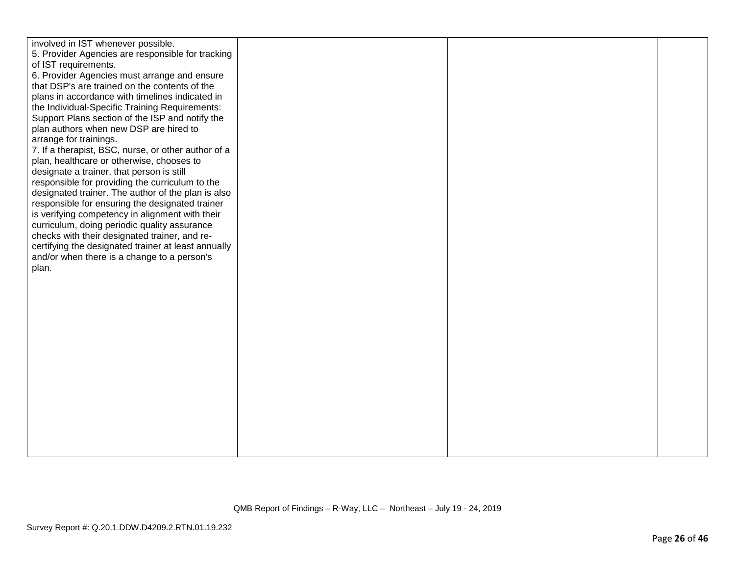| involved in IST whenever possible.                  |  |  |
|-----------------------------------------------------|--|--|
| 5. Provider Agencies are responsible for tracking   |  |  |
| of IST requirements.                                |  |  |
|                                                     |  |  |
| 6. Provider Agencies must arrange and ensure        |  |  |
| that DSP's are trained on the contents of the       |  |  |
| plans in accordance with timelines indicated in     |  |  |
| the Individual-Specific Training Requirements:      |  |  |
| Support Plans section of the ISP and notify the     |  |  |
| plan authors when new DSP are hired to              |  |  |
| arrange for trainings.                              |  |  |
| 7. If a therapist, BSC, nurse, or other author of a |  |  |
| plan, healthcare or otherwise, chooses to           |  |  |
| designate a trainer, that person is still           |  |  |
| responsible for providing the curriculum to the     |  |  |
| designated trainer. The author of the plan is also  |  |  |
| responsible for ensuring the designated trainer     |  |  |
| is verifying competency in alignment with their     |  |  |
| curriculum, doing periodic quality assurance        |  |  |
| checks with their designated trainer, and re-       |  |  |
| certifying the designated trainer at least annually |  |  |
| and/or when there is a change to a person's         |  |  |
| plan.                                               |  |  |
|                                                     |  |  |
|                                                     |  |  |
|                                                     |  |  |
|                                                     |  |  |
|                                                     |  |  |
|                                                     |  |  |
|                                                     |  |  |
|                                                     |  |  |
|                                                     |  |  |
|                                                     |  |  |
|                                                     |  |  |
|                                                     |  |  |
|                                                     |  |  |
|                                                     |  |  |
|                                                     |  |  |
|                                                     |  |  |
|                                                     |  |  |
|                                                     |  |  |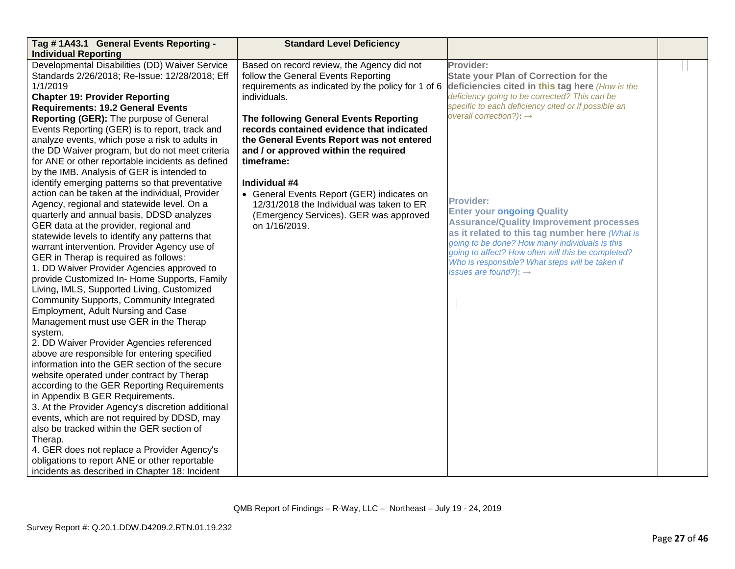| Tag #1A43.1 General Events Reporting -            | <b>Standard Level Deficiency</b>                   |                                                                                                      |  |
|---------------------------------------------------|----------------------------------------------------|------------------------------------------------------------------------------------------------------|--|
| <b>Individual Reporting</b>                       |                                                    |                                                                                                      |  |
| Developmental Disabilities (DD) Waiver Service    | Based on record review, the Agency did not         | Provider:                                                                                            |  |
| Standards 2/26/2018; Re-Issue: 12/28/2018; Eff    | follow the General Events Reporting                | <b>State your Plan of Correction for the</b>                                                         |  |
| 1/1/2019                                          | requirements as indicated by the policy for 1 of 6 | deficiencies cited in this tag here (How is the                                                      |  |
| <b>Chapter 19: Provider Reporting</b>             | individuals.                                       | deficiency going to be corrected? This can be                                                        |  |
| <b>Requirements: 19.2 General Events</b>          |                                                    | specific to each deficiency cited or if possible an                                                  |  |
| Reporting (GER): The purpose of General           | The following General Events Reporting             | overall correction?): $\rightarrow$                                                                  |  |
| Events Reporting (GER) is to report, track and    | records contained evidence that indicated          |                                                                                                      |  |
| analyze events, which pose a risk to adults in    | the General Events Report was not entered          |                                                                                                      |  |
| the DD Waiver program, but do not meet criteria   | and / or approved within the required              |                                                                                                      |  |
| for ANE or other reportable incidents as defined  | timeframe:                                         |                                                                                                      |  |
| by the IMB. Analysis of GER is intended to        |                                                    |                                                                                                      |  |
| identify emerging patterns so that preventative   | Individual #4                                      |                                                                                                      |  |
| action can be taken at the individual, Provider   | • General Events Report (GER) indicates on         |                                                                                                      |  |
| Agency, regional and statewide level. On a        | 12/31/2018 the Individual was taken to ER          | <b>Provider:</b>                                                                                     |  |
| quarterly and annual basis, DDSD analyzes         | (Emergency Services). GER was approved             | <b>Enter your ongoing Quality</b>                                                                    |  |
| GER data at the provider, regional and            | on 1/16/2019.                                      | <b>Assurance/Quality Improvement processes</b>                                                       |  |
| statewide levels to identify any patterns that    |                                                    | as it related to this tag number here (What is                                                       |  |
| warrant intervention. Provider Agency use of      |                                                    | going to be done? How many individuals is this<br>going to affect? How often will this be completed? |  |
| GER in Therap is required as follows:             |                                                    | Who is responsible? What steps will be taken if                                                      |  |
| 1. DD Waiver Provider Agencies approved to        |                                                    | issues are found?): $\rightarrow$                                                                    |  |
| provide Customized In- Home Supports, Family      |                                                    |                                                                                                      |  |
| Living, IMLS, Supported Living, Customized        |                                                    |                                                                                                      |  |
| Community Supports, Community Integrated          |                                                    |                                                                                                      |  |
| Employment, Adult Nursing and Case                |                                                    |                                                                                                      |  |
| Management must use GER in the Therap             |                                                    |                                                                                                      |  |
| system.                                           |                                                    |                                                                                                      |  |
| 2. DD Waiver Provider Agencies referenced         |                                                    |                                                                                                      |  |
| above are responsible for entering specified      |                                                    |                                                                                                      |  |
| information into the GER section of the secure    |                                                    |                                                                                                      |  |
| website operated under contract by Therap         |                                                    |                                                                                                      |  |
| according to the GER Reporting Requirements       |                                                    |                                                                                                      |  |
| in Appendix B GER Requirements.                   |                                                    |                                                                                                      |  |
| 3. At the Provider Agency's discretion additional |                                                    |                                                                                                      |  |
| events, which are not required by DDSD, may       |                                                    |                                                                                                      |  |
| also be tracked within the GER section of         |                                                    |                                                                                                      |  |
| Therap.                                           |                                                    |                                                                                                      |  |
| 4. GER does not replace a Provider Agency's       |                                                    |                                                                                                      |  |
| obligations to report ANE or other reportable     |                                                    |                                                                                                      |  |
| incidents as described in Chapter 18: Incident    |                                                    |                                                                                                      |  |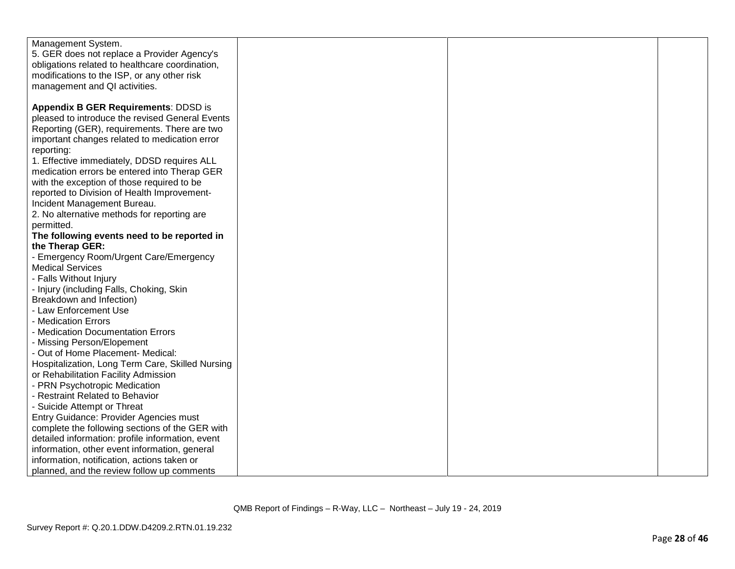| Management System.                               |  |  |
|--------------------------------------------------|--|--|
| 5. GER does not replace a Provider Agency's      |  |  |
| obligations related to healthcare coordination,  |  |  |
| modifications to the ISP, or any other risk      |  |  |
| management and QI activities.                    |  |  |
|                                                  |  |  |
| <b>Appendix B GER Requirements: DDSD is</b>      |  |  |
| pleased to introduce the revised General Events  |  |  |
| Reporting (GER), requirements. There are two     |  |  |
| important changes related to medication error    |  |  |
| reporting:                                       |  |  |
| 1. Effective immediately, DDSD requires ALL      |  |  |
| medication errors be entered into Therap GER     |  |  |
| with the exception of those required to be       |  |  |
| reported to Division of Health Improvement-      |  |  |
| Incident Management Bureau.                      |  |  |
| 2. No alternative methods for reporting are      |  |  |
| permitted.                                       |  |  |
| The following events need to be reported in      |  |  |
| the Therap GER:                                  |  |  |
| - Emergency Room/Urgent Care/Emergency           |  |  |
| <b>Medical Services</b>                          |  |  |
| - Falls Without Injury                           |  |  |
| - Injury (including Falls, Choking, Skin         |  |  |
| Breakdown and Infection)                         |  |  |
| - Law Enforcement Use                            |  |  |
| - Medication Errors                              |  |  |
| - Medication Documentation Errors                |  |  |
| - Missing Person/Elopement                       |  |  |
| - Out of Home Placement- Medical:                |  |  |
| Hospitalization, Long Term Care, Skilled Nursing |  |  |
| or Rehabilitation Facility Admission             |  |  |
| - PRN Psychotropic Medication                    |  |  |
| - Restraint Related to Behavior                  |  |  |
| - Suicide Attempt or Threat                      |  |  |
| Entry Guidance: Provider Agencies must           |  |  |
| complete the following sections of the GER with  |  |  |
| detailed information: profile information, event |  |  |
| information, other event information, general    |  |  |
| information, notification, actions taken or      |  |  |
| planned, and the review follow up comments       |  |  |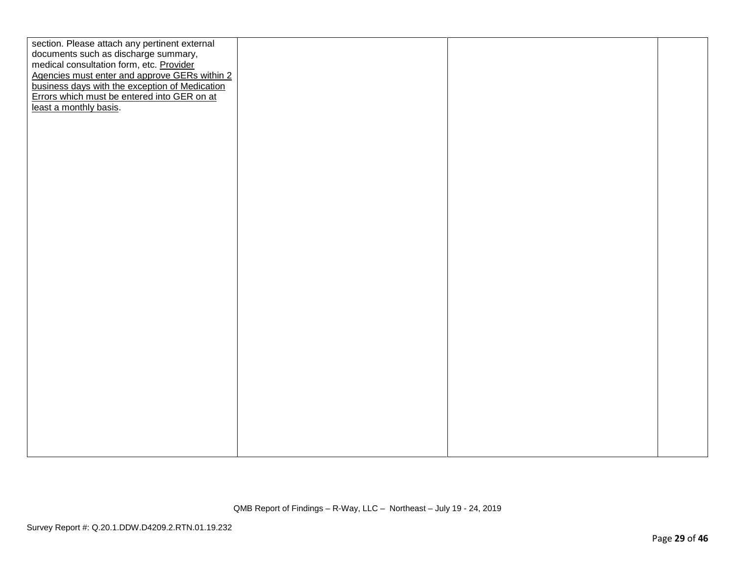| section. Please attach any pertinent external  |  |  |
|------------------------------------------------|--|--|
| documents such as discharge summary,           |  |  |
| medical consultation form, etc. Provider       |  |  |
| Agencies must enter and approve GERs within 2  |  |  |
| business days with the exception of Medication |  |  |
| Errors which must be entered into GER on at    |  |  |
| least a monthly basis.                         |  |  |
|                                                |  |  |
|                                                |  |  |
|                                                |  |  |
|                                                |  |  |
|                                                |  |  |
|                                                |  |  |
|                                                |  |  |
|                                                |  |  |
|                                                |  |  |
|                                                |  |  |
|                                                |  |  |
|                                                |  |  |
|                                                |  |  |
|                                                |  |  |
|                                                |  |  |
|                                                |  |  |
|                                                |  |  |
|                                                |  |  |
|                                                |  |  |
|                                                |  |  |
|                                                |  |  |
|                                                |  |  |
|                                                |  |  |
|                                                |  |  |
|                                                |  |  |
|                                                |  |  |
|                                                |  |  |
|                                                |  |  |
|                                                |  |  |
|                                                |  |  |
|                                                |  |  |
|                                                |  |  |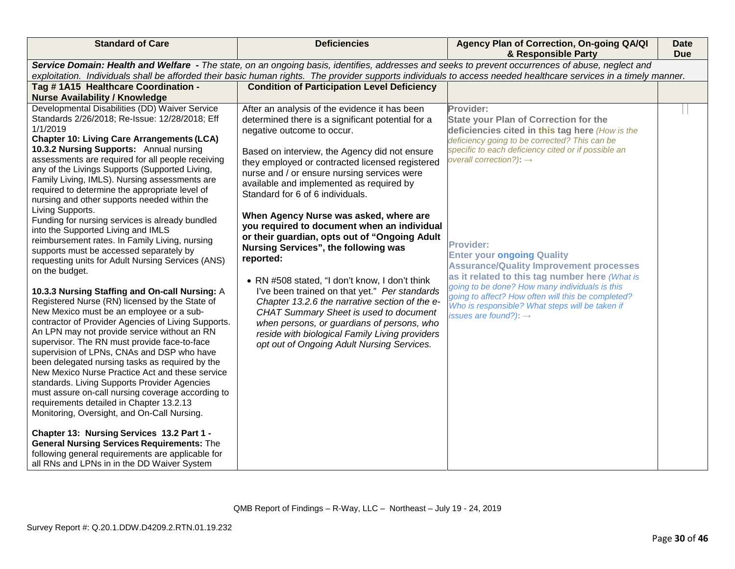| <b>Standard of Care</b>                                                                                                                                                                                                                                                                                                                                                                                                                                                                                                                                                                                                                                                                                                                                                                                                                                                                                                                                                                                                                                                                                                                                                                                                                                                                                                                                                                                                                                                                                                                                                                                                   | <b>Deficiencies</b>                                                                                                                                                                                                                                                                                                                                                                                                                                                                                                                                                                                                                                                                                                                                                                                                                                                                                             | Agency Plan of Correction, On-going QA/QI<br>& Responsible Party                                                                                                                                                                                                                                                                                                                                                                                                                                                                                                                                                  | <b>Date</b><br><b>Due</b> |
|---------------------------------------------------------------------------------------------------------------------------------------------------------------------------------------------------------------------------------------------------------------------------------------------------------------------------------------------------------------------------------------------------------------------------------------------------------------------------------------------------------------------------------------------------------------------------------------------------------------------------------------------------------------------------------------------------------------------------------------------------------------------------------------------------------------------------------------------------------------------------------------------------------------------------------------------------------------------------------------------------------------------------------------------------------------------------------------------------------------------------------------------------------------------------------------------------------------------------------------------------------------------------------------------------------------------------------------------------------------------------------------------------------------------------------------------------------------------------------------------------------------------------------------------------------------------------------------------------------------------------|-----------------------------------------------------------------------------------------------------------------------------------------------------------------------------------------------------------------------------------------------------------------------------------------------------------------------------------------------------------------------------------------------------------------------------------------------------------------------------------------------------------------------------------------------------------------------------------------------------------------------------------------------------------------------------------------------------------------------------------------------------------------------------------------------------------------------------------------------------------------------------------------------------------------|-------------------------------------------------------------------------------------------------------------------------------------------------------------------------------------------------------------------------------------------------------------------------------------------------------------------------------------------------------------------------------------------------------------------------------------------------------------------------------------------------------------------------------------------------------------------------------------------------------------------|---------------------------|
| Service Domain: Health and Welfare - The state, on an ongoing basis, identifies, addresses and seeks to prevent occurrences of abuse, neglect and<br>exploitation. Individuals shall be afforded their basic human rights. The provider supports individuals to access needed healthcare services in a timely manner.                                                                                                                                                                                                                                                                                                                                                                                                                                                                                                                                                                                                                                                                                                                                                                                                                                                                                                                                                                                                                                                                                                                                                                                                                                                                                                     |                                                                                                                                                                                                                                                                                                                                                                                                                                                                                                                                                                                                                                                                                                                                                                                                                                                                                                                 |                                                                                                                                                                                                                                                                                                                                                                                                                                                                                                                                                                                                                   |                           |
| Tag #1A15 Healthcare Coordination -<br><b>Nurse Availability / Knowledge</b>                                                                                                                                                                                                                                                                                                                                                                                                                                                                                                                                                                                                                                                                                                                                                                                                                                                                                                                                                                                                                                                                                                                                                                                                                                                                                                                                                                                                                                                                                                                                              | <b>Condition of Participation Level Deficiency</b>                                                                                                                                                                                                                                                                                                                                                                                                                                                                                                                                                                                                                                                                                                                                                                                                                                                              |                                                                                                                                                                                                                                                                                                                                                                                                                                                                                                                                                                                                                   |                           |
| Developmental Disabilities (DD) Waiver Service<br>Standards 2/26/2018; Re-Issue: 12/28/2018; Eff<br>1/1/2019<br><b>Chapter 10: Living Care Arrangements (LCA)</b><br>10.3.2 Nursing Supports: Annual nursing<br>assessments are required for all people receiving<br>any of the Livings Supports (Supported Living,<br>Family Living, IMLS). Nursing assessments are<br>required to determine the appropriate level of<br>nursing and other supports needed within the<br>Living Supports.<br>Funding for nursing services is already bundled<br>into the Supported Living and IMLS<br>reimbursement rates. In Family Living, nursing<br>supports must be accessed separately by<br>requesting units for Adult Nursing Services (ANS)<br>on the budget.<br>10.3.3 Nursing Staffing and On-call Nursing: A<br>Registered Nurse (RN) licensed by the State of<br>New Mexico must be an employee or a sub-<br>contractor of Provider Agencies of Living Supports.<br>An LPN may not provide service without an RN<br>supervisor. The RN must provide face-to-face<br>supervision of LPNs, CNAs and DSP who have<br>been delegated nursing tasks as required by the<br>New Mexico Nurse Practice Act and these service<br>standards. Living Supports Provider Agencies<br>must assure on-call nursing coverage according to<br>requirements detailed in Chapter 13.2.13<br>Monitoring, Oversight, and On-Call Nursing.<br>Chapter 13: Nursing Services 13.2 Part 1 -<br><b>General Nursing Services Requirements: The</b><br>following general requirements are applicable for<br>all RNs and LPNs in in the DD Waiver System | After an analysis of the evidence it has been<br>determined there is a significant potential for a<br>negative outcome to occur.<br>Based on interview, the Agency did not ensure<br>they employed or contracted licensed registered<br>nurse and / or ensure nursing services were<br>available and implemented as required by<br>Standard for 6 of 6 individuals.<br>When Agency Nurse was asked, where are<br>you required to document when an individual<br>or their guardian, opts out of "Ongoing Adult<br>Nursing Services", the following was<br>reported:<br>• RN #508 stated, "I don't know, I don't think<br>I've been trained on that yet." Per standards<br>Chapter 13.2.6 the narrative section of the e-<br>CHAT Summary Sheet is used to document<br>when persons, or guardians of persons, who<br>reside with biological Family Living providers<br>opt out of Ongoing Adult Nursing Services. | Provider:<br><b>State your Plan of Correction for the</b><br>deficiencies cited in this tag here (How is the<br>deficiency going to be corrected? This can be<br>specific to each deficiency cited or if possible an<br>overall correction?): $\rightarrow$<br>Provider:<br><b>Enter your ongoing Quality</b><br><b>Assurance/Quality Improvement processes</b><br>as it related to this tag number here (What is<br>going to be done? How many individuals is this<br>going to affect? How often will this be completed?<br>Who is responsible? What steps will be taken if<br>issues are found?): $\rightarrow$ |                           |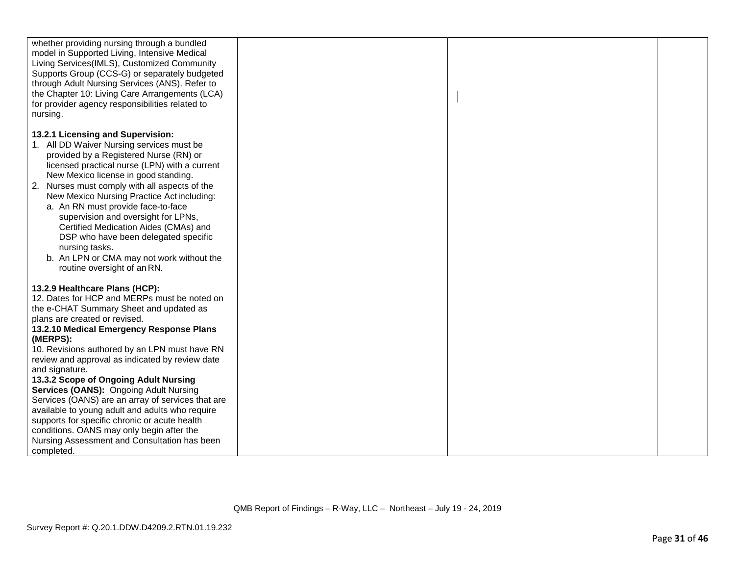| whether providing nursing through a bundled                       |  |  |
|-------------------------------------------------------------------|--|--|
|                                                                   |  |  |
| model in Supported Living, Intensive Medical                      |  |  |
| Living Services(IMLS), Customized Community                       |  |  |
| Supports Group (CCS-G) or separately budgeted                     |  |  |
| through Adult Nursing Services (ANS). Refer to                    |  |  |
| the Chapter 10: Living Care Arrangements (LCA)                    |  |  |
| for provider agency responsibilities related to                   |  |  |
| nursing.                                                          |  |  |
|                                                                   |  |  |
| 13.2.1 Licensing and Supervision:                                 |  |  |
| 1. All DD Waiver Nursing services must be                         |  |  |
| provided by a Registered Nurse (RN) or                            |  |  |
|                                                                   |  |  |
| licensed practical nurse (LPN) with a current                     |  |  |
| New Mexico license in good standing.                              |  |  |
| 2. Nurses must comply with all aspects of the                     |  |  |
| New Mexico Nursing Practice Actincluding:                         |  |  |
| a. An RN must provide face-to-face                                |  |  |
| supervision and oversight for LPNs,                               |  |  |
| Certified Medication Aides (CMAs) and                             |  |  |
| DSP who have been delegated specific                              |  |  |
| nursing tasks.                                                    |  |  |
|                                                                   |  |  |
| b. An LPN or CMA may not work without the                         |  |  |
| routine oversight of an RN.                                       |  |  |
| 13.2.9 Healthcare Plans (HCP):                                    |  |  |
| 12. Dates for HCP and MERPs must be noted on                      |  |  |
|                                                                   |  |  |
| the e-CHAT Summary Sheet and updated as                           |  |  |
| plans are created or revised.                                     |  |  |
| 13.2.10 Medical Emergency Response Plans                          |  |  |
| (MERPS):                                                          |  |  |
| 10. Revisions authored by an LPN must have RN                     |  |  |
| review and approval as indicated by review date<br>and signature. |  |  |
| 13.3.2 Scope of Ongoing Adult Nursing                             |  |  |
| Services (OANS): Ongoing Adult Nursing                            |  |  |
| Services (OANS) are an array of services that are                 |  |  |
| available to young adult and adults who require                   |  |  |
| supports for specific chronic or acute health                     |  |  |
| conditions. OANS may only begin after the                         |  |  |
| Nursing Assessment and Consultation has been                      |  |  |
| completed.                                                        |  |  |
|                                                                   |  |  |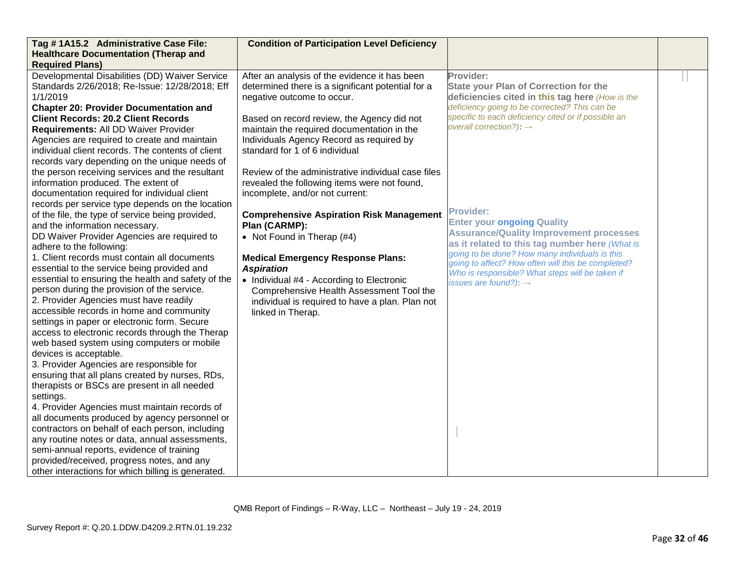| Tag #1A15.2 Administrative Case File:              | <b>Condition of Participation Level Deficiency</b> |                                                                                      |  |
|----------------------------------------------------|----------------------------------------------------|--------------------------------------------------------------------------------------|--|
| <b>Healthcare Documentation (Therap and</b>        |                                                    |                                                                                      |  |
| <b>Required Plans)</b>                             |                                                    |                                                                                      |  |
| Developmental Disabilities (DD) Waiver Service     | After an analysis of the evidence it has been      | Provider:                                                                            |  |
| Standards 2/26/2018; Re-Issue: 12/28/2018; Eff     | determined there is a significant potential for a  | <b>State your Plan of Correction for the</b>                                         |  |
| 1/1/2019                                           | negative outcome to occur.                         | deficiencies cited in this tag here (How is the                                      |  |
| <b>Chapter 20: Provider Documentation and</b>      |                                                    | deficiency going to be corrected? This can be                                        |  |
| <b>Client Records: 20.2 Client Records</b>         | Based on record review, the Agency did not         | specific to each deficiency cited or if possible an                                  |  |
| Requirements: All DD Waiver Provider               | maintain the required documentation in the         | overall correction?): $\rightarrow$                                                  |  |
| Agencies are required to create and maintain       | Individuals Agency Record as required by           |                                                                                      |  |
| individual client records. The contents of client  | standard for 1 of 6 individual                     |                                                                                      |  |
| records vary depending on the unique needs of      |                                                    |                                                                                      |  |
| the person receiving services and the resultant    | Review of the administrative individual case files |                                                                                      |  |
| information produced. The extent of                | revealed the following items were not found,       |                                                                                      |  |
| documentation required for individual client       | incomplete, and/or not current:                    |                                                                                      |  |
| records per service type depends on the location   |                                                    |                                                                                      |  |
| of the file, the type of service being provided,   | <b>Comprehensive Aspiration Risk Management</b>    | <b>Provider:</b>                                                                     |  |
| and the information necessary.                     | Plan (CARMP):                                      | <b>Enter your ongoing Quality</b>                                                    |  |
| DD Waiver Provider Agencies are required to        | • Not Found in Therap (#4)                         | <b>Assurance/Quality Improvement processes</b>                                       |  |
| adhere to the following:                           |                                                    | as it related to this tag number here (What is                                       |  |
| 1. Client records must contain all documents       | <b>Medical Emergency Response Plans:</b>           | going to be done? How many individuals is this                                       |  |
| essential to the service being provided and        | <b>Aspiration</b>                                  | going to affect? How often will this be completed?                                   |  |
| essential to ensuring the health and safety of the | • Individual #4 - According to Electronic          | Who is responsible? What steps will be taken if<br>issues are found?): $\rightarrow$ |  |
| person during the provision of the service.        | Comprehensive Health Assessment Tool the           |                                                                                      |  |
| 2. Provider Agencies must have readily             | individual is required to have a plan. Plan not    |                                                                                      |  |
| accessible records in home and community           | linked in Therap.                                  |                                                                                      |  |
| settings in paper or electronic form. Secure       |                                                    |                                                                                      |  |
| access to electronic records through the Therap    |                                                    |                                                                                      |  |
| web based system using computers or mobile         |                                                    |                                                                                      |  |
| devices is acceptable.                             |                                                    |                                                                                      |  |
| 3. Provider Agencies are responsible for           |                                                    |                                                                                      |  |
| ensuring that all plans created by nurses, RDs,    |                                                    |                                                                                      |  |
| therapists or BSCs are present in all needed       |                                                    |                                                                                      |  |
| settings.                                          |                                                    |                                                                                      |  |
| 4. Provider Agencies must maintain records of      |                                                    |                                                                                      |  |
| all documents produced by agency personnel or      |                                                    |                                                                                      |  |
| contractors on behalf of each person, including    |                                                    |                                                                                      |  |
| any routine notes or data, annual assessments,     |                                                    |                                                                                      |  |
| semi-annual reports, evidence of training          |                                                    |                                                                                      |  |
| provided/received, progress notes, and any         |                                                    |                                                                                      |  |
| other interactions for which billing is generated. |                                                    |                                                                                      |  |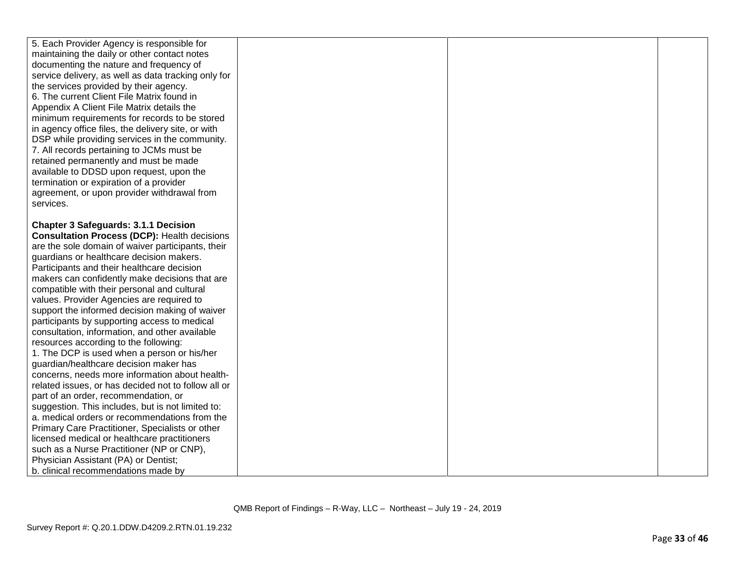| 5. Each Provider Agency is responsible for<br>maintaining the daily or other contact notes<br>documenting the nature and frequency of<br>service delivery, as well as data tracking only for |  |  |
|----------------------------------------------------------------------------------------------------------------------------------------------------------------------------------------------|--|--|
| the services provided by their agency.<br>6. The current Client File Matrix found in                                                                                                         |  |  |
| Appendix A Client File Matrix details the                                                                                                                                                    |  |  |
| minimum requirements for records to be stored<br>in agency office files, the delivery site, or with                                                                                          |  |  |
| DSP while providing services in the community.                                                                                                                                               |  |  |
| 7. All records pertaining to JCMs must be<br>retained permanently and must be made                                                                                                           |  |  |
| available to DDSD upon request, upon the                                                                                                                                                     |  |  |
| termination or expiration of a provider                                                                                                                                                      |  |  |
| agreement, or upon provider withdrawal from                                                                                                                                                  |  |  |
| services.                                                                                                                                                                                    |  |  |
| <b>Chapter 3 Safeguards: 3.1.1 Decision</b><br><b>Consultation Process (DCP): Health decisions</b>                                                                                           |  |  |
| are the sole domain of waiver participants, their                                                                                                                                            |  |  |
| guardians or healthcare decision makers.                                                                                                                                                     |  |  |
| Participants and their healthcare decision                                                                                                                                                   |  |  |
| makers can confidently make decisions that are<br>compatible with their personal and cultural                                                                                                |  |  |
| values. Provider Agencies are required to                                                                                                                                                    |  |  |
| support the informed decision making of waiver                                                                                                                                               |  |  |
| participants by supporting access to medical                                                                                                                                                 |  |  |
| consultation, information, and other available                                                                                                                                               |  |  |
| resources according to the following:<br>1. The DCP is used when a person or his/her                                                                                                         |  |  |
| guardian/healthcare decision maker has                                                                                                                                                       |  |  |
| concerns, needs more information about health-                                                                                                                                               |  |  |
| related issues, or has decided not to follow all or                                                                                                                                          |  |  |
| part of an order, recommendation, or                                                                                                                                                         |  |  |
| suggestion. This includes, but is not limited to:<br>a. medical orders or recommendations from the                                                                                           |  |  |
| Primary Care Practitioner, Specialists or other                                                                                                                                              |  |  |
| licensed medical or healthcare practitioners                                                                                                                                                 |  |  |
| such as a Nurse Practitioner (NP or CNP),                                                                                                                                                    |  |  |
| Physician Assistant (PA) or Dentist;                                                                                                                                                         |  |  |
| b. clinical recommendations made by                                                                                                                                                          |  |  |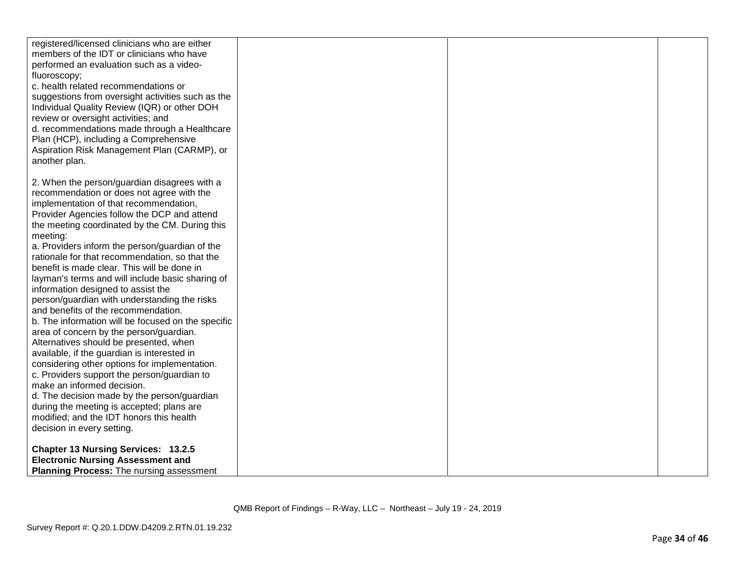| registered/licensed clinicians who are either<br>members of the IDT or clinicians who have<br>performed an evaluation such as a video-<br>fluoroscopy;<br>c. health related recommendations or<br>suggestions from oversight activities such as the<br>Individual Quality Review (IQR) or other DOH<br>review or oversight activities; and<br>d. recommendations made through a Healthcare<br>Plan (HCP), including a Comprehensive<br>Aspiration Risk Management Plan (CARMP), or<br>another plan.                                                                                                                                                                                                                                                                                                                                                                                                                                                                                                                                                                                |  |  |
|------------------------------------------------------------------------------------------------------------------------------------------------------------------------------------------------------------------------------------------------------------------------------------------------------------------------------------------------------------------------------------------------------------------------------------------------------------------------------------------------------------------------------------------------------------------------------------------------------------------------------------------------------------------------------------------------------------------------------------------------------------------------------------------------------------------------------------------------------------------------------------------------------------------------------------------------------------------------------------------------------------------------------------------------------------------------------------|--|--|
| 2. When the person/guardian disagrees with a<br>recommendation or does not agree with the<br>implementation of that recommendation,<br>Provider Agencies follow the DCP and attend<br>the meeting coordinated by the CM. During this<br>meeting:<br>a. Providers inform the person/guardian of the<br>rationale for that recommendation, so that the<br>benefit is made clear. This will be done in<br>layman's terms and will include basic sharing of<br>information designed to assist the<br>person/guardian with understanding the risks<br>and benefits of the recommendation.<br>b. The information will be focused on the specific<br>area of concern by the person/guardian.<br>Alternatives should be presented, when<br>available, if the guardian is interested in<br>considering other options for implementation.<br>c. Providers support the person/guardian to<br>make an informed decision.<br>d. The decision made by the person/guardian<br>during the meeting is accepted; plans are<br>modified; and the IDT honors this health<br>decision in every setting. |  |  |
| <b>Chapter 13 Nursing Services: 13.2.5</b><br><b>Electronic Nursing Assessment and</b><br><b>Planning Process:</b> The nursing assessment                                                                                                                                                                                                                                                                                                                                                                                                                                                                                                                                                                                                                                                                                                                                                                                                                                                                                                                                          |  |  |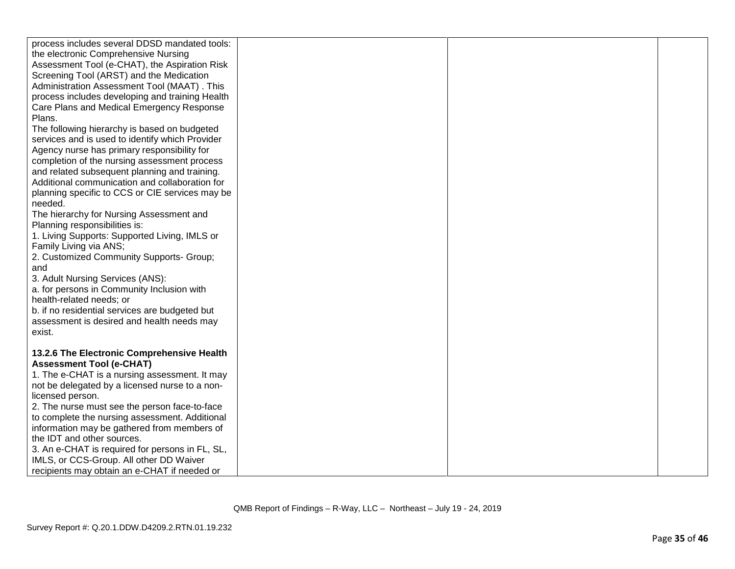| process includes several DDSD mandated tools:<br>the electronic Comprehensive Nursing<br>Assessment Tool (e-CHAT), the Aspiration Risk<br>Screening Tool (ARST) and the Medication<br>Administration Assessment Tool (MAAT). This<br>process includes developing and training Health<br>Care Plans and Medical Emergency Response<br>Plans.<br>The following hierarchy is based on budgeted<br>services and is used to identify which Provider<br>Agency nurse has primary responsibility for<br>completion of the nursing assessment process<br>and related subsequent planning and training.<br>Additional communication and collaboration for<br>planning specific to CCS or CIE services may be<br>needed.<br>The hierarchy for Nursing Assessment and<br>Planning responsibilities is:<br>1. Living Supports: Supported Living, IMLS or<br>Family Living via ANS;<br>2. Customized Community Supports- Group;<br>and<br>3. Adult Nursing Services (ANS): |  |  |
|---------------------------------------------------------------------------------------------------------------------------------------------------------------------------------------------------------------------------------------------------------------------------------------------------------------------------------------------------------------------------------------------------------------------------------------------------------------------------------------------------------------------------------------------------------------------------------------------------------------------------------------------------------------------------------------------------------------------------------------------------------------------------------------------------------------------------------------------------------------------------------------------------------------------------------------------------------------|--|--|
| b. if no residential services are budgeted but                                                                                                                                                                                                                                                                                                                                                                                                                                                                                                                                                                                                                                                                                                                                                                                                                                                                                                                |  |  |
| assessment is desired and health needs may                                                                                                                                                                                                                                                                                                                                                                                                                                                                                                                                                                                                                                                                                                                                                                                                                                                                                                                    |  |  |
| exist.                                                                                                                                                                                                                                                                                                                                                                                                                                                                                                                                                                                                                                                                                                                                                                                                                                                                                                                                                        |  |  |
|                                                                                                                                                                                                                                                                                                                                                                                                                                                                                                                                                                                                                                                                                                                                                                                                                                                                                                                                                               |  |  |
| 13.2.6 The Electronic Comprehensive Health<br><b>Assessment Tool (e-CHAT)</b><br>1. The e-CHAT is a nursing assessment. It may<br>not be delegated by a licensed nurse to a non-<br>licensed person.                                                                                                                                                                                                                                                                                                                                                                                                                                                                                                                                                                                                                                                                                                                                                          |  |  |
| 2. The nurse must see the person face-to-face                                                                                                                                                                                                                                                                                                                                                                                                                                                                                                                                                                                                                                                                                                                                                                                                                                                                                                                 |  |  |
| to complete the nursing assessment. Additional                                                                                                                                                                                                                                                                                                                                                                                                                                                                                                                                                                                                                                                                                                                                                                                                                                                                                                                |  |  |
| information may be gathered from members of                                                                                                                                                                                                                                                                                                                                                                                                                                                                                                                                                                                                                                                                                                                                                                                                                                                                                                                   |  |  |
| the IDT and other sources.                                                                                                                                                                                                                                                                                                                                                                                                                                                                                                                                                                                                                                                                                                                                                                                                                                                                                                                                    |  |  |
| 3. An e-CHAT is required for persons in FL, SL,                                                                                                                                                                                                                                                                                                                                                                                                                                                                                                                                                                                                                                                                                                                                                                                                                                                                                                               |  |  |
| IMLS, or CCS-Group. All other DD Waiver                                                                                                                                                                                                                                                                                                                                                                                                                                                                                                                                                                                                                                                                                                                                                                                                                                                                                                                       |  |  |
| recipients may obtain an e-CHAT if needed or                                                                                                                                                                                                                                                                                                                                                                                                                                                                                                                                                                                                                                                                                                                                                                                                                                                                                                                  |  |  |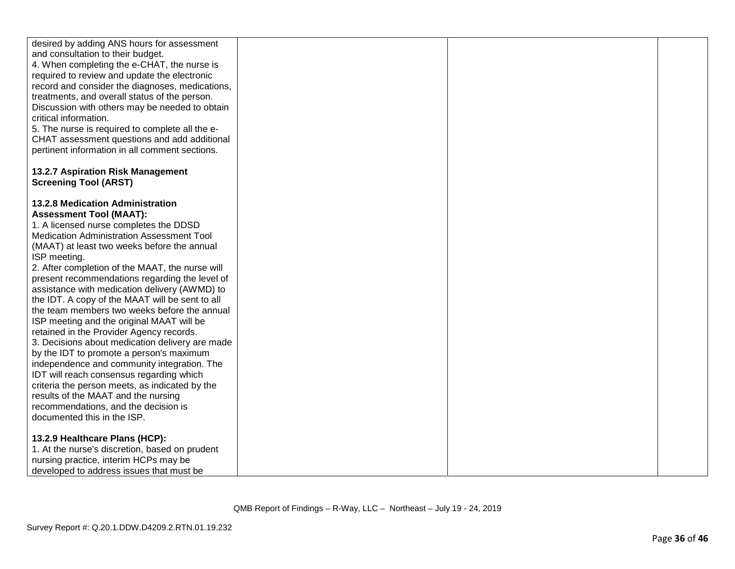| desired by adding ANS hours for assessment<br>and consultation to their budget. |  |
|---------------------------------------------------------------------------------|--|
|                                                                                 |  |
|                                                                                 |  |
| 4. When completing the e-CHAT, the nurse is                                     |  |
| required to review and update the electronic                                    |  |
| record and consider the diagnoses, medications,                                 |  |
| treatments, and overall status of the person.                                   |  |
| Discussion with others may be needed to obtain                                  |  |
| critical information.                                                           |  |
| 5. The nurse is required to complete all the e-                                 |  |
| CHAT assessment questions and add additional                                    |  |
| pertinent information in all comment sections.                                  |  |
|                                                                                 |  |
| 13.2.7 Aspiration Risk Management                                               |  |
| <b>Screening Tool (ARST)</b>                                                    |  |
|                                                                                 |  |
| 13.2.8 Medication Administration                                                |  |
| <b>Assessment Tool (MAAT):</b>                                                  |  |
| 1. A licensed nurse completes the DDSD                                          |  |
| Medication Administration Assessment Tool                                       |  |
| (MAAT) at least two weeks before the annual                                     |  |
| ISP meeting.                                                                    |  |
| 2. After completion of the MAAT, the nurse will                                 |  |
| present recommendations regarding the level of                                  |  |
| assistance with medication delivery (AWMD) to                                   |  |
| the IDT. A copy of the MAAT will be sent to all                                 |  |
| the team members two weeks before the annual                                    |  |
| ISP meeting and the original MAAT will be                                       |  |
| retained in the Provider Agency records.                                        |  |
| 3. Decisions about medication delivery are made                                 |  |
| by the IDT to promote a person's maximum                                        |  |
| independence and community integration. The                                     |  |
| IDT will reach consensus regarding which                                        |  |
| criteria the person meets, as indicated by the                                  |  |
| results of the MAAT and the nursing                                             |  |
| recommendations, and the decision is                                            |  |
| documented this in the ISP.                                                     |  |
|                                                                                 |  |
| 13.2.9 Healthcare Plans (HCP):                                                  |  |
| 1. At the nurse's discretion, based on prudent                                  |  |
| nursing practice, interim HCPs may be                                           |  |
| developed to address issues that must be                                        |  |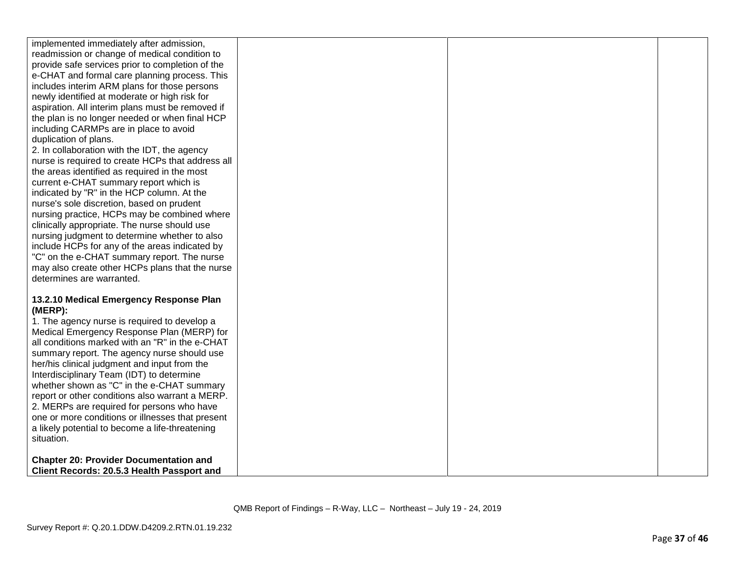| implemented immediately after admission,          |  |  |
|---------------------------------------------------|--|--|
| readmission or change of medical condition to     |  |  |
| provide safe services prior to completion of the  |  |  |
| e-CHAT and formal care planning process. This     |  |  |
| includes interim ARM plans for those persons      |  |  |
| newly identified at moderate or high risk for     |  |  |
| aspiration. All interim plans must be removed if  |  |  |
| the plan is no longer needed or when final HCP    |  |  |
| including CARMPs are in place to avoid            |  |  |
| duplication of plans.                             |  |  |
| 2. In collaboration with the IDT, the agency      |  |  |
| nurse is required to create HCPs that address all |  |  |
| the areas identified as required in the most      |  |  |
| current e-CHAT summary report which is            |  |  |
| indicated by "R" in the HCP column. At the        |  |  |
| nurse's sole discretion, based on prudent         |  |  |
| nursing practice, HCPs may be combined where      |  |  |
| clinically appropriate. The nurse should use      |  |  |
| nursing judgment to determine whether to also     |  |  |
| include HCPs for any of the areas indicated by    |  |  |
| "C" on the e-CHAT summary report. The nurse       |  |  |
| may also create other HCPs plans that the nurse   |  |  |
| determines are warranted.                         |  |  |
|                                                   |  |  |
| 13.2.10 Medical Emergency Response Plan           |  |  |
| (MERP):                                           |  |  |
| 1. The agency nurse is required to develop a      |  |  |
| Medical Emergency Response Plan (MERP) for        |  |  |
| all conditions marked with an "R" in the e-CHAT   |  |  |
| summary report. The agency nurse should use       |  |  |
| her/his clinical judgment and input from the      |  |  |
| Interdisciplinary Team (IDT) to determine         |  |  |
| whether shown as "C" in the e-CHAT summary        |  |  |
| report or other conditions also warrant a MERP.   |  |  |
| 2. MERPs are required for persons who have        |  |  |
| one or more conditions or illnesses that present  |  |  |
| a likely potential to become a life-threatening   |  |  |
| situation.                                        |  |  |
|                                                   |  |  |
| <b>Chapter 20: Provider Documentation and</b>     |  |  |
| Client Records: 20.5.3 Health Passport and        |  |  |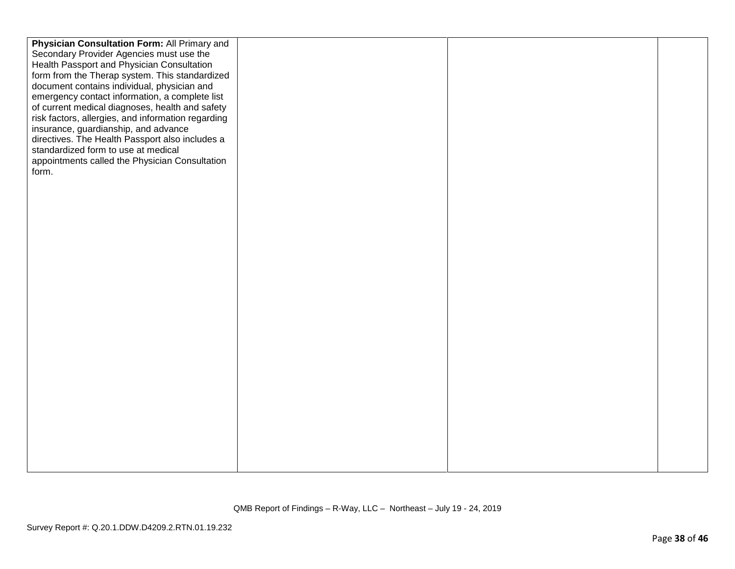| Physician Consultation Form: All Primary and       |  |  |
|----------------------------------------------------|--|--|
| Secondary Provider Agencies must use the           |  |  |
| Health Passport and Physician Consultation         |  |  |
| form from the Therap system. This standardized     |  |  |
| document contains individual, physician and        |  |  |
| emergency contact information, a complete list     |  |  |
| of current medical diagnoses, health and safety    |  |  |
| risk factors, allergies, and information regarding |  |  |
| insurance, guardianship, and advance               |  |  |
| directives. The Health Passport also includes a    |  |  |
| standardized form to use at medical                |  |  |
|                                                    |  |  |
| appointments called the Physician Consultation     |  |  |
| form.                                              |  |  |
|                                                    |  |  |
|                                                    |  |  |
|                                                    |  |  |
|                                                    |  |  |
|                                                    |  |  |
|                                                    |  |  |
|                                                    |  |  |
|                                                    |  |  |
|                                                    |  |  |
|                                                    |  |  |
|                                                    |  |  |
|                                                    |  |  |
|                                                    |  |  |
|                                                    |  |  |
|                                                    |  |  |
|                                                    |  |  |
|                                                    |  |  |
|                                                    |  |  |
|                                                    |  |  |
|                                                    |  |  |
|                                                    |  |  |
|                                                    |  |  |
|                                                    |  |  |
|                                                    |  |  |
|                                                    |  |  |
|                                                    |  |  |
|                                                    |  |  |
|                                                    |  |  |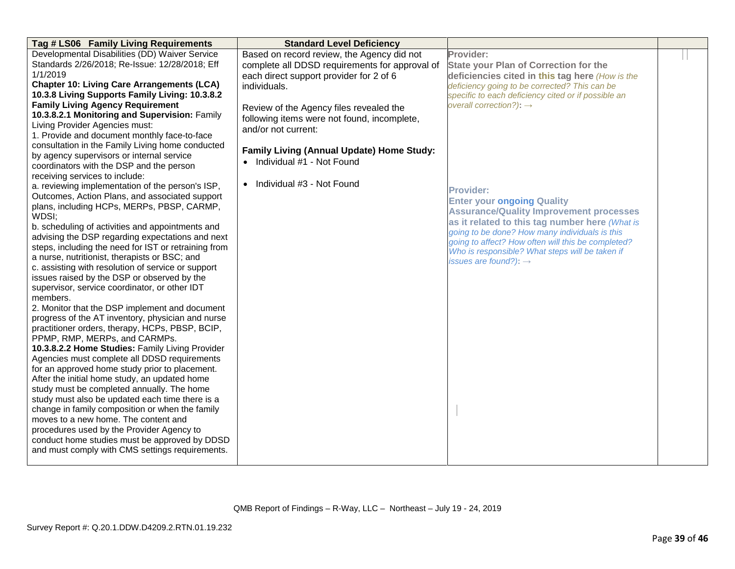| Tag # LS06 Family Living Requirements                                                                    | <b>Standard Level Deficiency</b>               |                                                     |  |
|----------------------------------------------------------------------------------------------------------|------------------------------------------------|-----------------------------------------------------|--|
| Developmental Disabilities (DD) Waiver Service                                                           | Based on record review, the Agency did not     | Provider:                                           |  |
| Standards 2/26/2018; Re-Issue: 12/28/2018; Eff                                                           | complete all DDSD requirements for approval of | <b>State your Plan of Correction for the</b>        |  |
| 1/1/2019                                                                                                 | each direct support provider for 2 of 6        | deficiencies cited in this tag here (How is the     |  |
| <b>Chapter 10: Living Care Arrangements (LCA)</b>                                                        | individuals.                                   | deficiency going to be corrected? This can be       |  |
| 10.3.8 Living Supports Family Living: 10.3.8.2                                                           |                                                | specific to each deficiency cited or if possible an |  |
| <b>Family Living Agency Requirement</b>                                                                  | Review of the Agency files revealed the        | overall correction?): $\rightarrow$                 |  |
| 10.3.8.2.1 Monitoring and Supervision: Family                                                            | following items were not found, incomplete,    |                                                     |  |
| Living Provider Agencies must:                                                                           | and/or not current:                            |                                                     |  |
| 1. Provide and document monthly face-to-face                                                             |                                                |                                                     |  |
| consultation in the Family Living home conducted                                                         | Family Living (Annual Update) Home Study:      |                                                     |  |
| by agency supervisors or internal service                                                                | • Individual #1 - Not Found                    |                                                     |  |
| coordinators with the DSP and the person                                                                 |                                                |                                                     |  |
| receiving services to include:                                                                           |                                                |                                                     |  |
| a. reviewing implementation of the person's ISP,                                                         | • Individual #3 - Not Found                    | <b>Provider:</b>                                    |  |
| Outcomes, Action Plans, and associated support                                                           |                                                | <b>Enter your ongoing Quality</b>                   |  |
| plans, including HCPs, MERPs, PBSP, CARMP,                                                               |                                                | <b>Assurance/Quality Improvement processes</b>      |  |
| WDSI;                                                                                                    |                                                | as it related to this tag number here (What is      |  |
| b. scheduling of activities and appointments and                                                         |                                                | going to be done? How many individuals is this      |  |
| advising the DSP regarding expectations and next<br>steps, including the need for IST or retraining from |                                                | going to affect? How often will this be completed?  |  |
| a nurse, nutritionist, therapists or BSC; and                                                            |                                                | Who is responsible? What steps will be taken if     |  |
| c. assisting with resolution of service or support                                                       |                                                | issues are found?): $\rightarrow$                   |  |
| issues raised by the DSP or observed by the                                                              |                                                |                                                     |  |
| supervisor, service coordinator, or other IDT                                                            |                                                |                                                     |  |
| members.                                                                                                 |                                                |                                                     |  |
| 2. Monitor that the DSP implement and document                                                           |                                                |                                                     |  |
| progress of the AT inventory, physician and nurse                                                        |                                                |                                                     |  |
| practitioner orders, therapy, HCPs, PBSP, BCIP,                                                          |                                                |                                                     |  |
| PPMP, RMP, MERPs, and CARMPs.                                                                            |                                                |                                                     |  |
| 10.3.8.2.2 Home Studies: Family Living Provider                                                          |                                                |                                                     |  |
| Agencies must complete all DDSD requirements                                                             |                                                |                                                     |  |
| for an approved home study prior to placement.                                                           |                                                |                                                     |  |
| After the initial home study, an updated home                                                            |                                                |                                                     |  |
| study must be completed annually. The home                                                               |                                                |                                                     |  |
| study must also be updated each time there is a                                                          |                                                |                                                     |  |
| change in family composition or when the family                                                          |                                                |                                                     |  |
| moves to a new home. The content and                                                                     |                                                |                                                     |  |
| procedures used by the Provider Agency to                                                                |                                                |                                                     |  |
| conduct home studies must be approved by DDSD                                                            |                                                |                                                     |  |
| and must comply with CMS settings requirements.                                                          |                                                |                                                     |  |
|                                                                                                          |                                                |                                                     |  |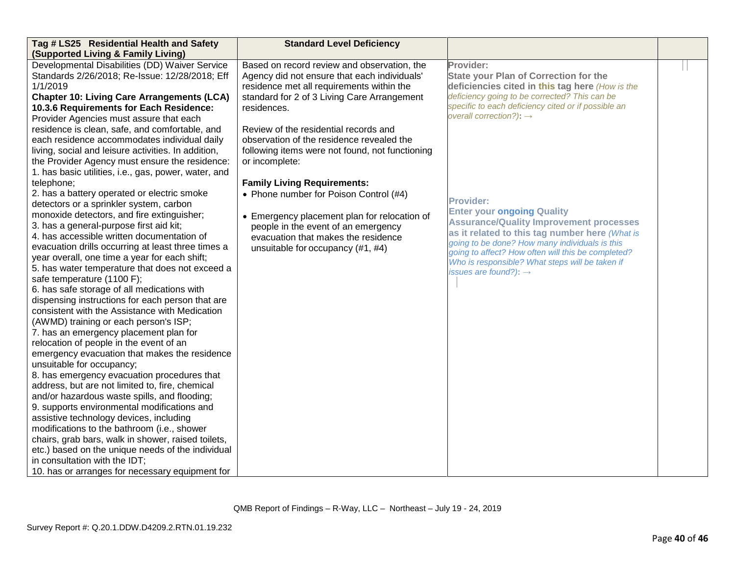| Tag # LS25 Residential Health and Safety                                          | <b>Standard Level Deficiency</b>                |                                                     |  |
|-----------------------------------------------------------------------------------|-------------------------------------------------|-----------------------------------------------------|--|
| (Supported Living & Family Living)                                                |                                                 |                                                     |  |
| Developmental Disabilities (DD) Waiver Service                                    | Based on record review and observation, the     | Provider:                                           |  |
| Standards 2/26/2018; Re-Issue: 12/28/2018; Eff                                    | Agency did not ensure that each individuals'    | <b>State your Plan of Correction for the</b>        |  |
| 1/1/2019                                                                          | residence met all requirements within the       | deficiencies cited in this tag here (How is the     |  |
| <b>Chapter 10: Living Care Arrangements (LCA)</b>                                 | standard for 2 of 3 Living Care Arrangement     | deficiency going to be corrected? This can be       |  |
| 10.3.6 Requirements for Each Residence:                                           | residences.                                     | specific to each deficiency cited or if possible an |  |
| Provider Agencies must assure that each                                           |                                                 | overall correction?): $\rightarrow$                 |  |
| residence is clean, safe, and comfortable, and                                    | Review of the residential records and           |                                                     |  |
| each residence accommodates individual daily                                      | observation of the residence revealed the       |                                                     |  |
| living, social and leisure activities. In addition,                               | following items were not found, not functioning |                                                     |  |
| the Provider Agency must ensure the residence:                                    | or incomplete:                                  |                                                     |  |
| 1. has basic utilities, i.e., gas, power, water, and                              |                                                 |                                                     |  |
| telephone;                                                                        | <b>Family Living Requirements:</b>              |                                                     |  |
| 2. has a battery operated or electric smoke                                       | • Phone number for Poison Control (#4)          | <b>Provider:</b>                                    |  |
| detectors or a sprinkler system, carbon                                           |                                                 | <b>Enter your ongoing Quality</b>                   |  |
| monoxide detectors, and fire extinguisher;                                        | • Emergency placement plan for relocation of    | <b>Assurance/Quality Improvement processes</b>      |  |
| 3. has a general-purpose first aid kit;                                           | people in the event of an emergency             | as it related to this tag number here (What is      |  |
| 4. has accessible written documentation of                                        | evacuation that makes the residence             | going to be done? How many individuals is this      |  |
| evacuation drills occurring at least three times a                                | unsuitable for occupancy (#1, #4)               | going to affect? How often will this be completed?  |  |
| year overall, one time a year for each shift;                                     |                                                 | Who is responsible? What steps will be taken if     |  |
| 5. has water temperature that does not exceed a                                   |                                                 | issues are found?): $\rightarrow$                   |  |
| safe temperature (1100 F);                                                        |                                                 |                                                     |  |
| 6. has safe storage of all medications with                                       |                                                 |                                                     |  |
| dispensing instructions for each person that are                                  |                                                 |                                                     |  |
| consistent with the Assistance with Medication                                    |                                                 |                                                     |  |
| (AWMD) training or each person's ISP;                                             |                                                 |                                                     |  |
| 7. has an emergency placement plan for<br>relocation of people in the event of an |                                                 |                                                     |  |
| emergency evacuation that makes the residence                                     |                                                 |                                                     |  |
| unsuitable for occupancy;                                                         |                                                 |                                                     |  |
| 8. has emergency evacuation procedures that                                       |                                                 |                                                     |  |
| address, but are not limited to, fire, chemical                                   |                                                 |                                                     |  |
| and/or hazardous waste spills, and flooding;                                      |                                                 |                                                     |  |
| 9. supports environmental modifications and                                       |                                                 |                                                     |  |
| assistive technology devices, including                                           |                                                 |                                                     |  |
| modifications to the bathroom (i.e., shower                                       |                                                 |                                                     |  |
| chairs, grab bars, walk in shower, raised toilets,                                |                                                 |                                                     |  |
| etc.) based on the unique needs of the individual                                 |                                                 |                                                     |  |
| in consultation with the IDT;                                                     |                                                 |                                                     |  |
| 10. has or arranges for necessary equipment for                                   |                                                 |                                                     |  |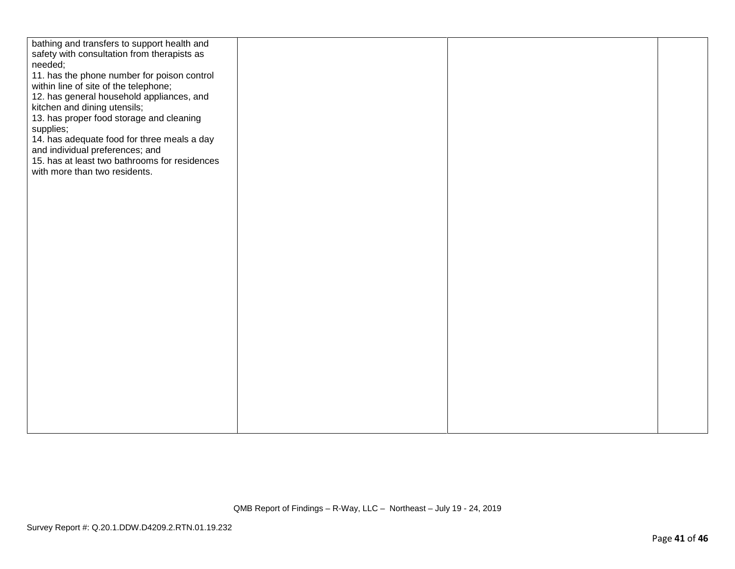| bathing and transfers to support health and<br>safety with consultation from therapists as<br>needed;<br>11. has the phone number for poison control<br>within line of site of the telephone;<br>12. has general household appliances, and<br>kitchen and dining utensils;<br>13. has proper food storage and cleaning<br>supplies;<br>14. has adequate food for three meals a day<br>and individual preferences; and<br>15. has at least two bathrooms for residences<br>with more than two residents. |  |  |
|---------------------------------------------------------------------------------------------------------------------------------------------------------------------------------------------------------------------------------------------------------------------------------------------------------------------------------------------------------------------------------------------------------------------------------------------------------------------------------------------------------|--|--|
|                                                                                                                                                                                                                                                                                                                                                                                                                                                                                                         |  |  |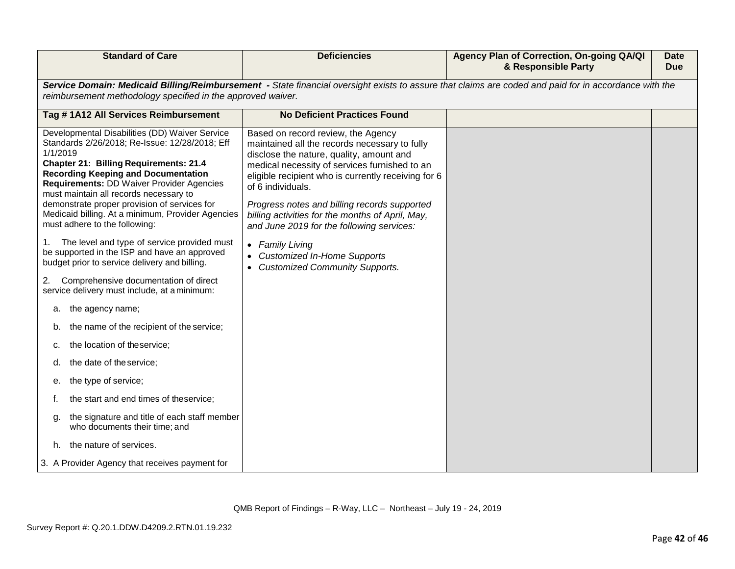| <b>Standard of Care</b>                                                                                                                                                                                                                                                                                                                                                                                                                                                                       | <b>Deficiencies</b>                                                                                                                                                                                                                                                                                                                                                                                                              | Agency Plan of Correction, On-going QA/QI<br>& Responsible Party | <b>Date</b><br><b>Due</b> |
|-----------------------------------------------------------------------------------------------------------------------------------------------------------------------------------------------------------------------------------------------------------------------------------------------------------------------------------------------------------------------------------------------------------------------------------------------------------------------------------------------|----------------------------------------------------------------------------------------------------------------------------------------------------------------------------------------------------------------------------------------------------------------------------------------------------------------------------------------------------------------------------------------------------------------------------------|------------------------------------------------------------------|---------------------------|
| reimbursement methodology specified in the approved waiver.                                                                                                                                                                                                                                                                                                                                                                                                                                   | Service Domain: Medicaid Billing/Reimbursement - State financial oversight exists to assure that claims are coded and paid for in accordance with the                                                                                                                                                                                                                                                                            |                                                                  |                           |
| Tag # 1A12 All Services Reimbursement                                                                                                                                                                                                                                                                                                                                                                                                                                                         | <b>No Deficient Practices Found</b>                                                                                                                                                                                                                                                                                                                                                                                              |                                                                  |                           |
| Developmental Disabilities (DD) Waiver Service<br>Standards 2/26/2018; Re-Issue: 12/28/2018; Eff<br>1/1/2019<br><b>Chapter 21: Billing Requirements: 21.4</b><br><b>Recording Keeping and Documentation</b><br>Requirements: DD Waiver Provider Agencies<br>must maintain all records necessary to<br>demonstrate proper provision of services for<br>Medicaid billing. At a minimum, Provider Agencies<br>must adhere to the following:<br>The level and type of service provided must<br>1. | Based on record review, the Agency<br>maintained all the records necessary to fully<br>disclose the nature, quality, amount and<br>medical necessity of services furnished to an<br>eligible recipient who is currently receiving for 6<br>of 6 individuals.<br>Progress notes and billing records supported<br>billing activities for the months of April, May,<br>and June 2019 for the following services:<br>• Family Living |                                                                  |                           |
| be supported in the ISP and have an approved<br>budget prior to service delivery and billing.                                                                                                                                                                                                                                                                                                                                                                                                 | • Customized In-Home Supports<br>• Customized Community Supports.                                                                                                                                                                                                                                                                                                                                                                |                                                                  |                           |
| Comprehensive documentation of direct<br>2.<br>service delivery must include, at a minimum:                                                                                                                                                                                                                                                                                                                                                                                                   |                                                                                                                                                                                                                                                                                                                                                                                                                                  |                                                                  |                           |
| the agency name;<br>а.                                                                                                                                                                                                                                                                                                                                                                                                                                                                        |                                                                                                                                                                                                                                                                                                                                                                                                                                  |                                                                  |                           |
| the name of the recipient of the service;<br>b.                                                                                                                                                                                                                                                                                                                                                                                                                                               |                                                                                                                                                                                                                                                                                                                                                                                                                                  |                                                                  |                           |
| the location of theservice;<br>c.                                                                                                                                                                                                                                                                                                                                                                                                                                                             |                                                                                                                                                                                                                                                                                                                                                                                                                                  |                                                                  |                           |
| the date of the service;                                                                                                                                                                                                                                                                                                                                                                                                                                                                      |                                                                                                                                                                                                                                                                                                                                                                                                                                  |                                                                  |                           |
| the type of service;<br>е.                                                                                                                                                                                                                                                                                                                                                                                                                                                                    |                                                                                                                                                                                                                                                                                                                                                                                                                                  |                                                                  |                           |
| the start and end times of theservice;                                                                                                                                                                                                                                                                                                                                                                                                                                                        |                                                                                                                                                                                                                                                                                                                                                                                                                                  |                                                                  |                           |
| the signature and title of each staff member<br>a.<br>who documents their time; and                                                                                                                                                                                                                                                                                                                                                                                                           |                                                                                                                                                                                                                                                                                                                                                                                                                                  |                                                                  |                           |
| h. the nature of services.                                                                                                                                                                                                                                                                                                                                                                                                                                                                    |                                                                                                                                                                                                                                                                                                                                                                                                                                  |                                                                  |                           |
| 3. A Provider Agency that receives payment for                                                                                                                                                                                                                                                                                                                                                                                                                                                |                                                                                                                                                                                                                                                                                                                                                                                                                                  |                                                                  |                           |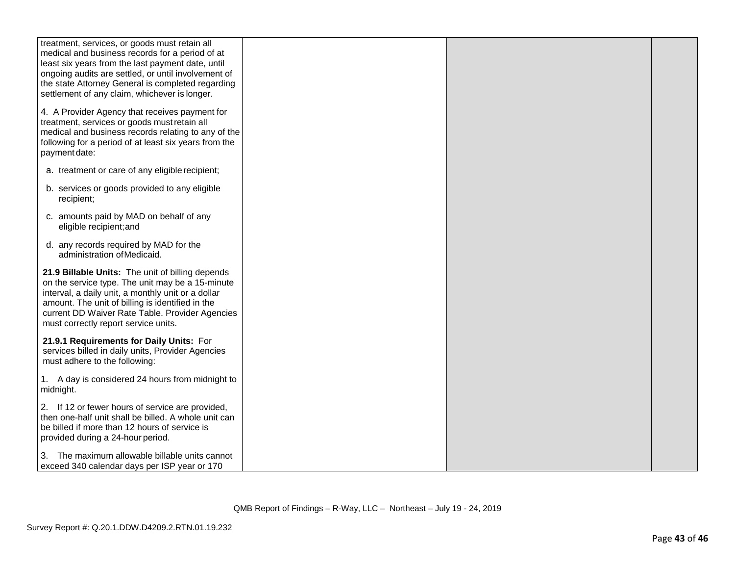| treatment, services, or goods must retain all                                                                                                                                                                                                                                                             |  |  |
|-----------------------------------------------------------------------------------------------------------------------------------------------------------------------------------------------------------------------------------------------------------------------------------------------------------|--|--|
| medical and business records for a period of at                                                                                                                                                                                                                                                           |  |  |
| least six years from the last payment date, until                                                                                                                                                                                                                                                         |  |  |
| ongoing audits are settled, or until involvement of                                                                                                                                                                                                                                                       |  |  |
| the state Attorney General is completed regarding                                                                                                                                                                                                                                                         |  |  |
|                                                                                                                                                                                                                                                                                                           |  |  |
| settlement of any claim, whichever is longer.                                                                                                                                                                                                                                                             |  |  |
| 4. A Provider Agency that receives payment for<br>treatment, services or goods must retain all<br>medical and business records relating to any of the<br>following for a period of at least six years from the<br>payment date:                                                                           |  |  |
| a. treatment or care of any eligible recipient;                                                                                                                                                                                                                                                           |  |  |
| b. services or goods provided to any eligible<br>recipient;                                                                                                                                                                                                                                               |  |  |
| c. amounts paid by MAD on behalf of any<br>eligible recipient; and                                                                                                                                                                                                                                        |  |  |
| d. any records required by MAD for the<br>administration of Medicaid.                                                                                                                                                                                                                                     |  |  |
| 21.9 Billable Units: The unit of billing depends<br>on the service type. The unit may be a 15-minute<br>interval, a daily unit, a monthly unit or a dollar<br>amount. The unit of billing is identified in the<br>current DD Waiver Rate Table. Provider Agencies<br>must correctly report service units. |  |  |
| 21.9.1 Requirements for Daily Units: For<br>services billed in daily units, Provider Agencies<br>must adhere to the following:                                                                                                                                                                            |  |  |
| 1. A day is considered 24 hours from midnight to<br>midnight.                                                                                                                                                                                                                                             |  |  |
| 2. If 12 or fewer hours of service are provided,<br>then one-half unit shall be billed. A whole unit can<br>be billed if more than 12 hours of service is<br>provided during a 24-hour period.                                                                                                            |  |  |
| The maximum allowable billable units cannot<br>3.<br>exceed 340 calendar days per ISP year or 170                                                                                                                                                                                                         |  |  |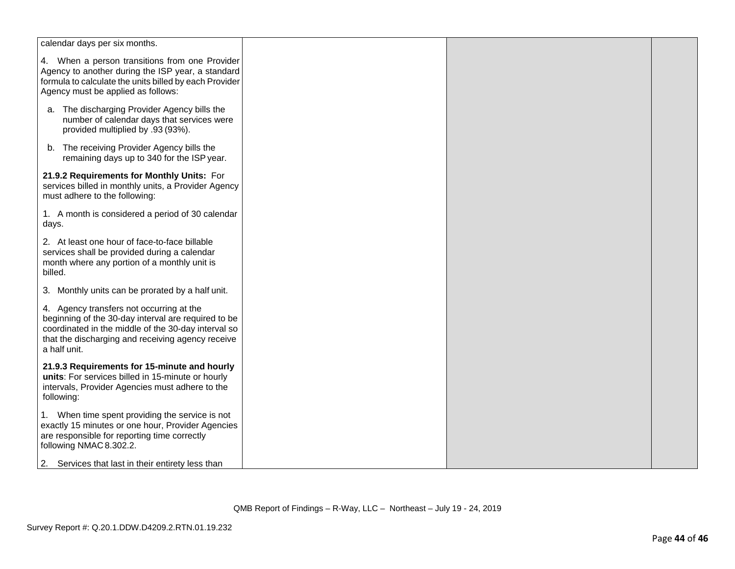| calendar days per six months.                                                                                                                                                                                               |  |  |
|-----------------------------------------------------------------------------------------------------------------------------------------------------------------------------------------------------------------------------|--|--|
| 4. When a person transitions from one Provider<br>Agency to another during the ISP year, a standard<br>formula to calculate the units billed by each Provider<br>Agency must be applied as follows:                         |  |  |
| a. The discharging Provider Agency bills the<br>number of calendar days that services were<br>provided multiplied by .93 (93%).                                                                                             |  |  |
| The receiving Provider Agency bills the<br>b.<br>remaining days up to 340 for the ISP year.                                                                                                                                 |  |  |
| 21.9.2 Requirements for Monthly Units: For<br>services billed in monthly units, a Provider Agency<br>must adhere to the following:                                                                                          |  |  |
| 1. A month is considered a period of 30 calendar<br>days.                                                                                                                                                                   |  |  |
| 2. At least one hour of face-to-face billable<br>services shall be provided during a calendar<br>month where any portion of a monthly unit is<br>billed.                                                                    |  |  |
| 3. Monthly units can be prorated by a half unit.                                                                                                                                                                            |  |  |
| 4. Agency transfers not occurring at the<br>beginning of the 30-day interval are required to be<br>coordinated in the middle of the 30-day interval so<br>that the discharging and receiving agency receive<br>a half unit. |  |  |
| 21.9.3 Requirements for 15-minute and hourly<br>units: For services billed in 15-minute or hourly<br>intervals, Provider Agencies must adhere to the<br>following:                                                          |  |  |
| 1. When time spent providing the service is not<br>exactly 15 minutes or one hour, Provider Agencies<br>are responsible for reporting time correctly<br>following NMAC 8.302.2.                                             |  |  |
| 2. Services that last in their entirety less than                                                                                                                                                                           |  |  |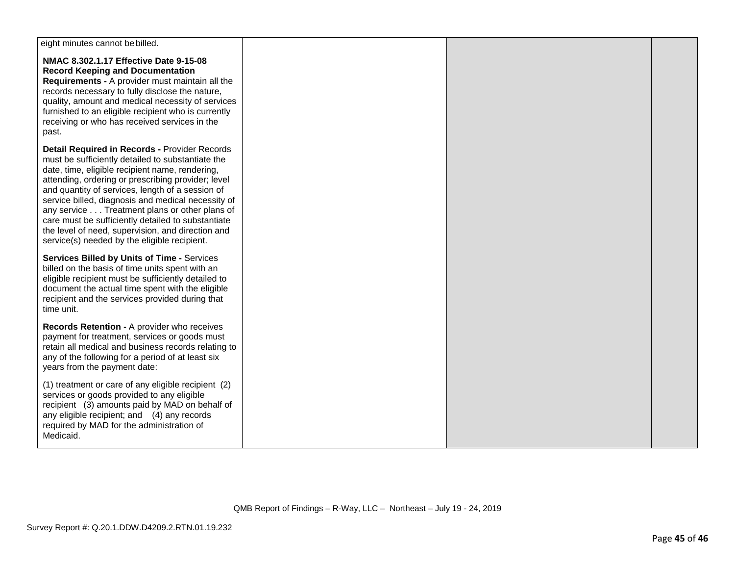| eight minutes cannot be billed.                                                                                                                                                                                                                                                                                                                                                                                                                                                                                                   |  |  |
|-----------------------------------------------------------------------------------------------------------------------------------------------------------------------------------------------------------------------------------------------------------------------------------------------------------------------------------------------------------------------------------------------------------------------------------------------------------------------------------------------------------------------------------|--|--|
| NMAC 8.302.1.17 Effective Date 9-15-08<br><b>Record Keeping and Documentation</b><br>Requirements - A provider must maintain all the<br>records necessary to fully disclose the nature,<br>quality, amount and medical necessity of services<br>furnished to an eligible recipient who is currently<br>receiving or who has received services in the<br>past.                                                                                                                                                                     |  |  |
| Detail Required in Records - Provider Records<br>must be sufficiently detailed to substantiate the<br>date, time, eligible recipient name, rendering,<br>attending, ordering or prescribing provider; level<br>and quantity of services, length of a session of<br>service billed, diagnosis and medical necessity of<br>any service Treatment plans or other plans of<br>care must be sufficiently detailed to substantiate<br>the level of need, supervision, and direction and<br>service(s) needed by the eligible recipient. |  |  |
| <b>Services Billed by Units of Time - Services</b><br>billed on the basis of time units spent with an<br>eligible recipient must be sufficiently detailed to<br>document the actual time spent with the eligible<br>recipient and the services provided during that<br>time unit.                                                                                                                                                                                                                                                 |  |  |
| Records Retention - A provider who receives<br>payment for treatment, services or goods must<br>retain all medical and business records relating to<br>any of the following for a period of at least six<br>years from the payment date:                                                                                                                                                                                                                                                                                          |  |  |
| (1) treatment or care of any eligible recipient (2)<br>services or goods provided to any eligible<br>recipient (3) amounts paid by MAD on behalf of<br>any eligible recipient; and (4) any records<br>required by MAD for the administration of<br>Medicaid.                                                                                                                                                                                                                                                                      |  |  |